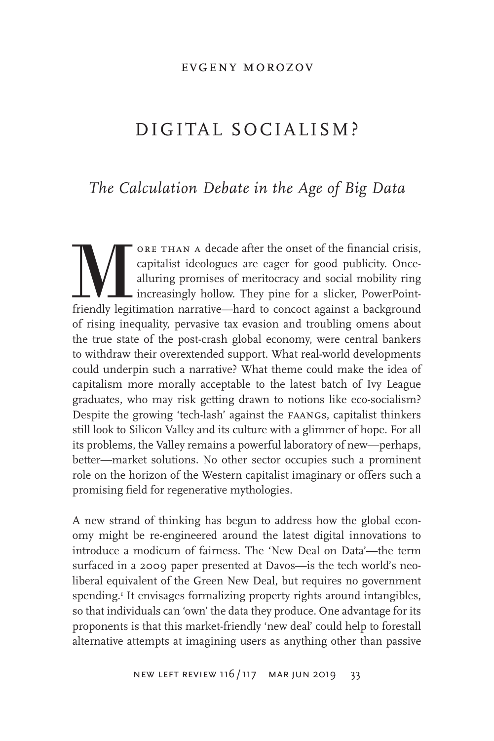#### evgeny morozov

# DIGITAL SOCIALISM?

### *The Calculation Debate in the Age of Big Data*

ORE THAN A decade after the onset of the financial crisis, capitalist ideologues are eager for good publicity. Once-<br>alluring promises of meritocracy and social mobility ring increasingly hollow. They pine for a slicker, P capitalist ideologues are eager for good publicity. Oncealluring promises of meritocracy and social mobility ring increasingly hollow. They pine for a slicker, PowerPointof rising inequality, pervasive tax evasion and troubling omens about the true state of the post-crash global economy, were central bankers to withdraw their overextended support. What real-world developments could underpin such a narrative? What theme could make the idea of capitalism more morally acceptable to the latest batch of Ivy League graduates, who may risk getting drawn to notions like eco-socialism? Despite the growing 'tech-lash' against the faangs, capitalist thinkers still look to Silicon Valley and its culture with a glimmer of hope. For all its problems, the Valley remains a powerful laboratory of new—perhaps, better—market solutions. No other sector occupies such a prominent role on the horizon of the Western capitalist imaginary or offers such a promising field for regenerative mythologies.

A new strand of thinking has begun to address how the global economy might be re-engineered around the latest digital innovations to introduce a modicum of fairness. The 'New Deal on Data'—the term surfaced in a 2009 paper presented at Davos—is the tech world's neoliberal equivalent of the Green New Deal, but requires no government spending.<sup>1</sup> It envisages formalizing property rights around intangibles, so that individuals can 'own' the data they produce. One advantage for its proponents is that this market-friendly 'new deal' could help to forestall alternative attempts at imagining users as anything other than passive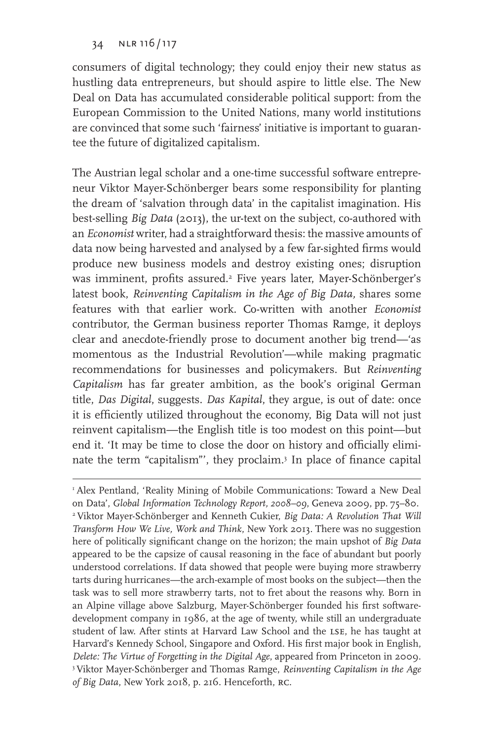consumers of digital technology; they could enjoy their new status as hustling data entrepreneurs, but should aspire to little else. The New Deal on Data has accumulated considerable political support: from the European Commission to the United Nations, many world institutions are convinced that some such 'fairness' initiative is important to guarantee the future of digitalized capitalism.

The Austrian legal scholar and a one-time successful software entrepreneur Viktor Mayer-Schönberger bears some responsibility for planting the dream of 'salvation through data' in the capitalist imagination. His best-selling *Big Data* (2013), the ur-text on the subject, co-authored with an *Economist* writer, had a straightforward thesis: the massive amounts of data now being harvested and analysed by a few far-sighted firms would produce new business models and destroy existing ones; disruption was imminent, profits assured.<sup>2</sup> Five years later, Mayer-Schönberger's latest book, *Reinventing Capitalism in the Age of Big Data,* shares some features with that earlier work. Co-written with another *Economist* contributor, the German business reporter Thomas Ramge, it deploys clear and anecdote-friendly prose to document another big trend—'as momentous as the Industrial Revolution'—while making pragmatic recommendations for businesses and policymakers. But *Reinventing Capitalism* has far greater ambition, as the book's original German title, *Das Digital*, suggests. *Das Kapital*, they argue, is out of date: once it is efficiently utilized throughout the economy, Big Data will not just reinvent capitalism—the English title is too modest on this point—but end it. 'It may be time to close the door on history and officially eliminate the term "capitalism"', they proclaim.3 In place of finance capital

<sup>1</sup> Alex Pentland, 'Reality Mining of Mobile Communications: Toward a New Deal on Data', *Global Information Technology Report, 2008–09*, Geneva 2009, pp. 75–80. 2 Viktor Mayer-Schönberger and Kenneth Cukier, *Big Data: A Revolution That Will Transform How We Live, Work and Think*, New York 2013. There was no suggestion here of politically significant change on the horizon; the main upshot of *Big Data* appeared to be the capsize of causal reasoning in the face of abundant but poorly understood correlations. If data showed that people were buying more strawberry tarts during hurricanes—the arch-example of most books on the subject—then the task was to sell more strawberry tarts, not to fret about the reasons why. Born in an Alpine village above Salzburg, Mayer-Schönberger founded his first softwaredevelopment company in 1986, at the age of twenty, while still an undergraduate student of law. After stints at Harvard Law School and the lse, he has taught at Harvard's Kennedy School, Singapore and Oxford. His first major book in English, *Delete: The Virtue of Forgetting in the Digital Age*, appeared from Princeton in 2009. 3 Viktor Mayer-Schönberger and Thomas Ramge, *Reinventing Capitalism in the Age of Big Data*, New York 2018, p. 216. Henceforth, rc.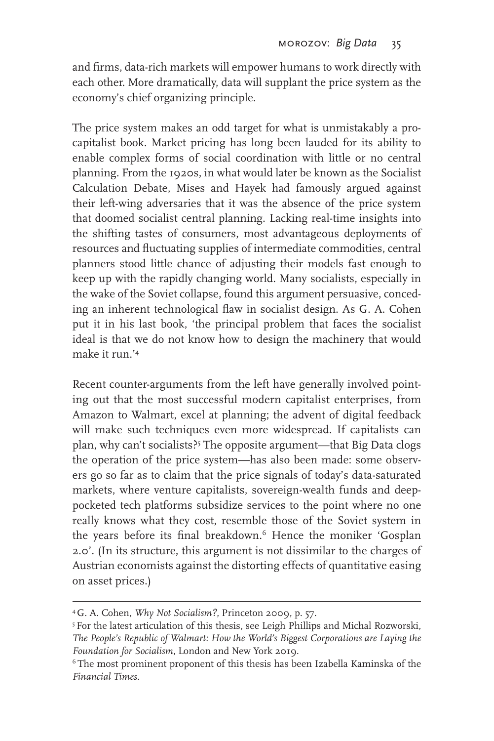and firms, data-rich markets will empower humans to work directly with each other. More dramatically, data will supplant the price system as the economy's chief organizing principle.

The price system makes an odd target for what is unmistakably a procapitalist book. Market pricing has long been lauded for its ability to enable complex forms of social coordination with little or no central planning. From the 1920s, in what would later be known as the Socialist Calculation Debate, Mises and Hayek had famously argued against their left-wing adversaries that it was the absence of the price system that doomed socialist central planning. Lacking real-time insights into the shifting tastes of consumers, most advantageous deployments of resources and fluctuating supplies of intermediate commodities, central planners stood little chance of adjusting their models fast enough to keep up with the rapidly changing world. Many socialists, especially in the wake of the Soviet collapse, found this argument persuasive, conceding an inherent technological flaw in socialist design. As G. A. Cohen put it in his last book, 'the principal problem that faces the socialist ideal is that we do not know how to design the machinery that would make it run.'4

Recent counter-arguments from the left have generally involved pointing out that the most successful modern capitalist enterprises, from Amazon to Walmart, excel at planning; the advent of digital feedback will make such techniques even more widespread. If capitalists can plan, why can't socialists?5 The opposite argument—that Big Data clogs the operation of the price system—has also been made: some observers go so far as to claim that the price signals of today's data-saturated markets, where venture capitalists, sovereign-wealth funds and deeppocketed tech platforms subsidize services to the point where no one really knows what they cost, resemble those of the Soviet system in the years before its final breakdown.<sup>6</sup> Hence the moniker 'Gosplan 2.0'. (In its structure, this argument is not dissimilar to the charges of Austrian economists against the distorting effects of quantitative easing on asset prices.)

<sup>4</sup> G. A. Cohen, *Why Not Socialism?*, Princeton 2009, p. 57.

<sup>&</sup>lt;sup>5</sup> For the latest articulation of this thesis, see Leigh Phillips and Michal Rozworski, *The People's Republic of Walmart: How the World's Biggest Corporations are Laying the Foundation for Socialism*, London and New York 2019.<br><sup>6</sup> The most prominent proponent of this thesis has been Izabella Kaminska of the

*Financial Times.*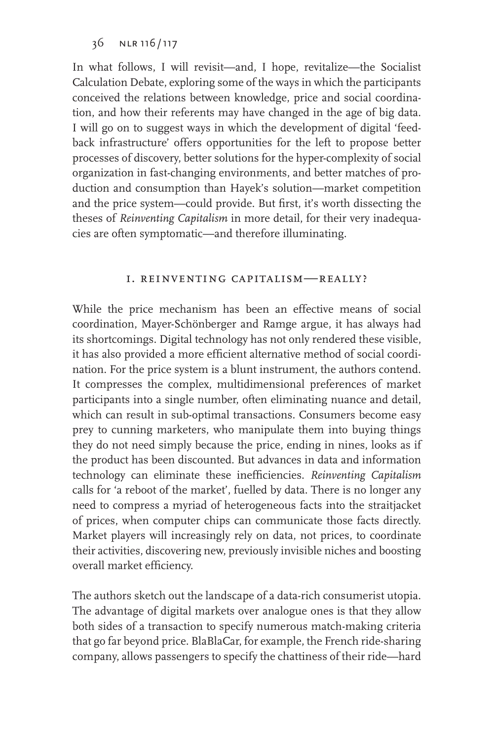In what follows, I will revisit—and, I hope, revitalize—the Socialist Calculation Debate, exploring some of the ways in which the participants conceived the relations between knowledge, price and social coordination, and how their referents may have changed in the age of big data. I will go on to suggest ways in which the development of digital 'feedback infrastructure' offers opportunities for the left to propose better processes of discovery, better solutions for the hyper-complexity of social organization in fast-changing environments, and better matches of production and consumption than Hayek's solution—market competition and the price system—could provide. But first, it's worth dissecting the theses of *Reinventing Capitalism* in more detail, for their very inadequacies are often symptomatic—and therefore illuminating.

#### i. reinventing capitalism—really?

While the price mechanism has been an effective means of social coordination, Mayer-Schönberger and Ramge argue, it has always had its shortcomings. Digital technology has not only rendered these visible, it has also provided a more efficient alternative method of social coordination. For the price system is a blunt instrument, the authors contend. It compresses the complex, multidimensional preferences of market participants into a single number, often eliminating nuance and detail, which can result in sub-optimal transactions. Consumers become easy prey to cunning marketers, who manipulate them into buying things they do not need simply because the price, ending in nines, looks as if the product has been discounted. But advances in data and information technology can eliminate these inefficiencies. *Reinventing Capitalism* calls for 'a reboot of the market', fuelled by data. There is no longer any need to compress a myriad of heterogeneous facts into the straitjacket of prices, when computer chips can communicate those facts directly. Market players will increasingly rely on data, not prices, to coordinate their activities, discovering new, previously invisible niches and boosting overall market efficiency.

The authors sketch out the landscape of a data-rich consumerist utopia. The advantage of digital markets over analogue ones is that they allow both sides of a transaction to specify numerous match-making criteria that go far beyond price. BlaBlaCar, for example, the French ride-sharing company, allows passengers to specify the chattiness of their ride—hard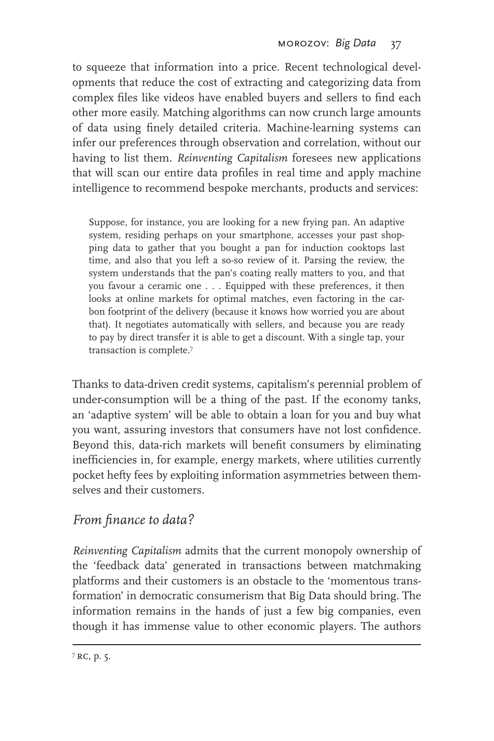to squeeze that information into a price. Recent technological developments that reduce the cost of extracting and categorizing data from complex files like videos have enabled buyers and sellers to find each other more easily. Matching algorithms can now crunch large amounts of data using finely detailed criteria. Machine-learning systems can infer our preferences through observation and correlation, without our having to list them. *Reinventing Capitalism* foresees new applications that will scan our entire data profiles in real time and apply machine intelligence to recommend bespoke merchants, products and services:

Suppose, for instance, you are looking for a new frying pan. An adaptive system, residing perhaps on your smartphone, accesses your past shopping data to gather that you bought a pan for induction cooktops last time, and also that you left a so-so review of it. Parsing the review, the system understands that the pan's coating really matters to you, and that you favour a ceramic one . . . Equipped with these preferences, it then looks at online markets for optimal matches, even factoring in the carbon footprint of the delivery (because it knows how worried you are about that). It negotiates automatically with sellers, and because you are ready to pay by direct transfer it is able to get a discount. With a single tap, your transaction is complete.7

Thanks to data-driven credit systems, capitalism's perennial problem of under-consumption will be a thing of the past. If the economy tanks, an 'adaptive system' will be able to obtain a loan for you and buy what you want, assuring investors that consumers have not lost confidence. Beyond this, data-rich markets will benefit consumers by eliminating inefficiencies in, for example, energy markets, where utilities currently pocket hefty fees by exploiting information asymmetries between themselves and their customers.

# *From finance to data?*

*Reinventing Capitalism* admits that the current monopoly ownership of the 'feedback data' generated in transactions between matchmaking platforms and their customers is an obstacle to the 'momentous transformation' in democratic consumerism that Big Data should bring. The information remains in the hands of just a few big companies, even though it has immense value to other economic players. The authors

 $7$  RC, p. 5.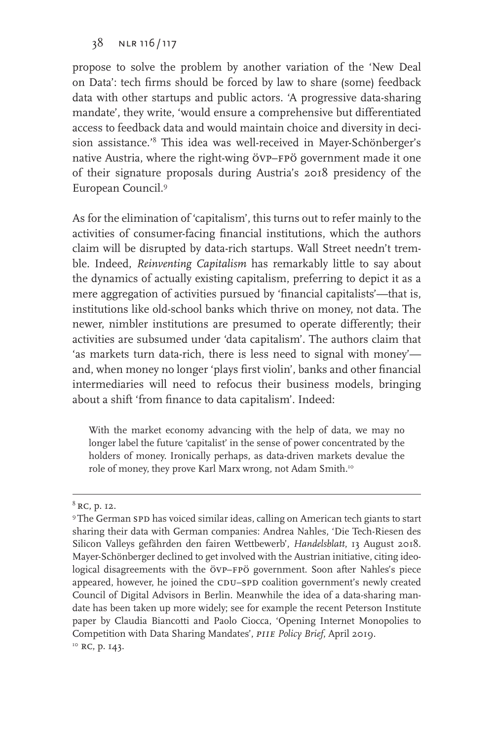propose to solve the problem by another variation of the 'New Deal on Data': tech firms should be forced by law to share (some) feedback data with other startups and public actors. 'A progressive data-sharing mandate', they write, 'would ensure a comprehensive but differentiated access to feedback data and would maintain choice and diversity in decision assistance.'8 This idea was well-received in Mayer-Schönberger's native Austria, where the right-wing övp–fpö government made it one of their signature proposals during Austria's 2018 presidency of the European Council.9

As for the elimination of 'capitalism', this turns out to refer mainly to the activities of consumer-facing financial institutions, which the authors claim will be disrupted by data-rich startups. Wall Street needn't tremble. Indeed, *Reinventing Capitalism* has remarkably little to say about the dynamics of actually existing capitalism, preferring to depict it as a mere aggregation of activities pursued by 'financial capitalists'—that is, institutions like old-school banks which thrive on money, not data. The newer, nimbler institutions are presumed to operate differently; their activities are subsumed under 'data capitalism'. The authors claim that 'as markets turn data-rich, there is less need to signal with money' and, when money no longer 'plays first violin', banks and other financial intermediaries will need to refocus their business models, bringing about a shift 'from finance to data capitalism'. Indeed:

With the market economy advancing with the help of data, we may no longer label the future 'capitalist' in the sense of power concentrated by the holders of money. Ironically perhaps, as data-driven markets devalue the role of money, they prove Karl Marx wrong, not Adam Smith.<sup>10</sup>

 $^8$  RC, p. 12.<br>9 The German spD has voiced similar ideas, calling on American tech giants to start sharing their data with German companies: Andrea Nahles, 'Die Tech-Riesen des Silicon Valleys gefährden den fairen Wettbewerb', *Handelsblatt*, 13 August 2018. Mayer-Schönberger declined to get involved with the Austrian initiative, citing ideological disagreements with the övp-FPÖ government. Soon after Nahles's piece appeared, however, he joined the CDU–SPD coalition government's newly created Council of Digital Advisors in Berlin. Meanwhile the idea of a data-sharing mandate has been taken up more widely; see for example the recent Peterson Institute paper by Claudia Biancotti and Paolo Ciocca, 'Opening Internet Monopolies to Competition with Data Sharing Mandates', *PIIE Policy Brief*, April 2019.<br><sup>10</sup> RC, p. 143.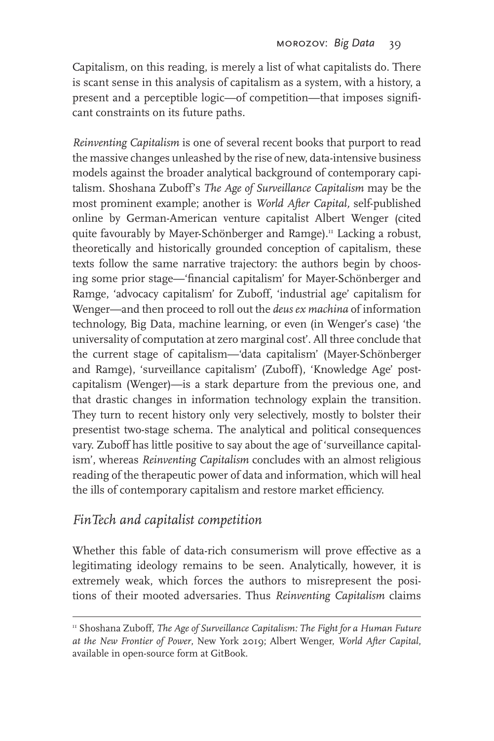Capitalism, on this reading, is merely a list of what capitalists do. There is scant sense in this analysis of capitalism as a system, with a history, a present and a perceptible logic—of competition—that imposes significant constraints on its future paths.

*Reinventing Capitalism* is one of several recent books that purport to read the massive changes unleashed by the rise of new, data-intensive business models against the broader analytical background of contemporary capitalism. Shoshana Zuboff's *The Age of Surveillance Capitalism* may be the most prominent example; another is *World After Capital,* self-published online by German-American venture capitalist Albert Wenger (cited quite favourably by Mayer-Schönberger and Ramge).<sup>11</sup> Lacking a robust, theoretically and historically grounded conception of capitalism, these texts follow the same narrative trajectory: the authors begin by choosing some prior stage—'financial capitalism' for Mayer-Schönberger and Ramge, 'advocacy capitalism' for Zuboff, 'industrial age' capitalism for Wenger—and then proceed to roll out the *deus ex machina* of information technology, Big Data, machine learning, or even (in Wenger's case) 'the universality of computation at zero marginal cost'. All three conclude that the current stage of capitalism—'data capitalism' (Mayer-Schönberger and Ramge), 'surveillance capitalism' (Zuboff), 'Knowledge Age' postcapitalism (Wenger)—is a stark departure from the previous one, and that drastic changes in information technology explain the transition. They turn to recent history only very selectively, mostly to bolster their presentist two-stage schema. The analytical and political consequences vary. Zuboff has little positive to say about the age of 'surveillance capitalism', whereas *Reinventing Capitalism* concludes with an almost religious reading of the therapeutic power of data and information, which will heal the ills of contemporary capitalism and restore market efficiency.

### *FinTech and capitalist competition*

Whether this fable of data-rich consumerism will prove effective as a legitimating ideology remains to be seen. Analytically, however, it is extremely weak, which forces the authors to misrepresent the positions of their mooted adversaries. Thus *Reinventing Capitalism* claims

<sup>&</sup>lt;sup>11</sup> Shoshana Zuboff, *The Age of Surveillance Capitalism: The Fight for a Human Future at the New Frontier of Power*, New York 2019; Albert Wenger, *World After Capital*, available in open-source form at GitBook.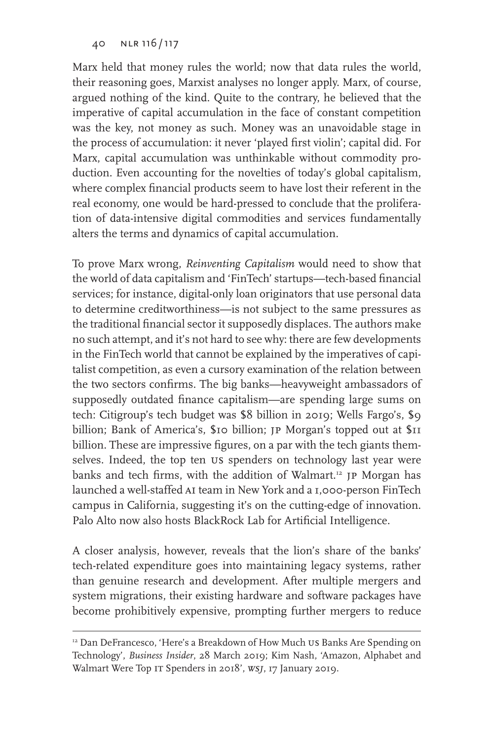Marx held that money rules the world; now that data rules the world, their reasoning goes, Marxist analyses no longer apply. Marx, of course, argued nothing of the kind. Quite to the contrary, he believed that the imperative of capital accumulation in the face of constant competition was the key, not money as such. Money was an unavoidable stage in the process of accumulation: it never 'played first violin'; capital did. For Marx, capital accumulation was unthinkable without commodity production. Even accounting for the novelties of today's global capitalism, where complex financial products seem to have lost their referent in the real economy, one would be hard-pressed to conclude that the proliferation of data-intensive digital commodities and services fundamentally alters the terms and dynamics of capital accumulation.

To prove Marx wrong, *Reinventing Capitalism* would need to show that the world of data capitalism and 'FinTech' startups—tech-based financial services; for instance, digital-only loan originators that use personal data to determine creditworthiness—is not subject to the same pressures as the traditional financial sector it supposedly displaces. The authors make no such attempt, and it's not hard to see why: there are few developments in the FinTech world that cannot be explained by the imperatives of capitalist competition, as even a cursory examination of the relation between the two sectors confirms. The big banks—heavyweight ambassadors of supposedly outdated finance capitalism—are spending large sums on tech: Citigroup's tech budget was \$8 billion in 2019; Wells Fargo's, \$9 billion; Bank of America's, \$10 billion; jp Morgan's topped out at \$11 billion. These are impressive figures, on a par with the tech giants themselves. Indeed, the top ten us spenders on technology last year were banks and tech firms, with the addition of Walmart.<sup>12</sup> JP Morgan has launched a well-staffed ai team in New York and a 1,000-person FinTech campus in California, suggesting it's on the cutting-edge of innovation. Palo Alto now also hosts BlackRock Lab for Artificial Intelligence.

A closer analysis, however, reveals that the lion's share of the banks' tech-related expenditure goes into maintaining legacy systems, rather than genuine research and development. After multiple mergers and system migrations, their existing hardware and software packages have become prohibitively expensive, prompting further mergers to reduce

<sup>&</sup>lt;sup>12</sup> Dan DeFrancesco, 'Here's a Breakdown of How Much US Banks Are Spending on Technology', *Business Insider*, 28 March 2019; Kim Nash, 'Amazon, Alphabet and Walmart Were Top it Spenders in 2018', *wsj*, 17 January 2019.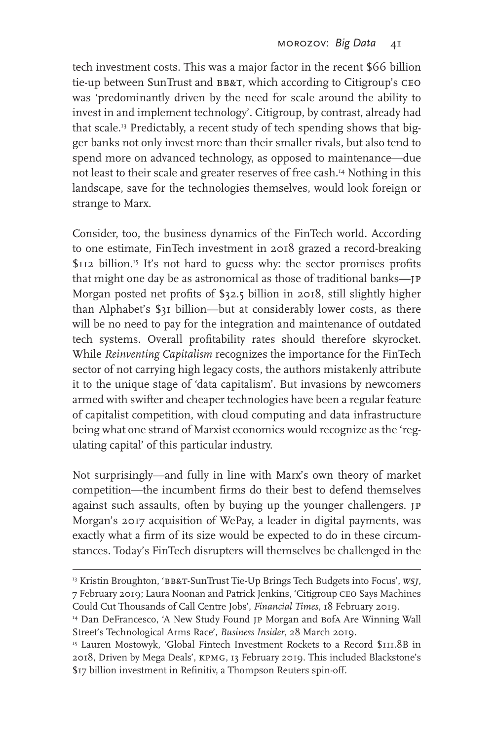tech investment costs. This was a major factor in the recent \$66 billion tie-up between SunTrust and BB&T, which according to Citigroup's CEO was 'predominantly driven by the need for scale around the ability to invest in and implement technology'. Citigroup, by contrast, already had that scale.<sup>13</sup> Predictably, a recent study of tech spending shows that bigger banks not only invest more than their smaller rivals, but also tend to spend more on advanced technology, as opposed to maintenance—due not least to their scale and greater reserves of free cash.14 Nothing in this landscape, save for the technologies themselves, would look foreign or strange to Marx.

Consider, too, the business dynamics of the FinTech world. According to one estimate, FinTech investment in 2018 grazed a record-breaking \$112 billion.<sup>15</sup> It's not hard to guess why: the sector promises profits that might one day be as astronomical as those of traditional banks—jp Morgan posted net profits of \$32.5 billion in 2018, still slightly higher than Alphabet's \$31 billion—but at considerably lower costs, as there will be no need to pay for the integration and maintenance of outdated tech systems. Overall profitability rates should therefore skyrocket. While *Reinventing Capitalism* recognizes the importance for the FinTech sector of not carrying high legacy costs, the authors mistakenly attribute it to the unique stage of 'data capitalism'. But invasions by newcomers armed with swifter and cheaper technologies have been a regular feature of capitalist competition, with cloud computing and data infrastructure being what one strand of Marxist economics would recognize as the 'regulating capital' of this particular industry.

Not surprisingly—and fully in line with Marx's own theory of market competition—the incumbent firms do their best to defend themselves against such assaults, often by buying up the younger challengers. jp Morgan's 2017 acquisition of WePay, a leader in digital payments, was exactly what a firm of its size would be expected to do in these circumstances. Today's FinTech disrupters will themselves be challenged in the

<sup>13</sup> Kristin Broughton, 'bb&t-SunTrust Tie-Up Brings Tech Budgets into Focus', *wsj*, 7 February 2019; Laura Noonan and Patrick Jenkins, 'Citigroup ceo Says Machines Could Cut Thousands of Call Centre Jobs', *Financial Times*, 18 February 2019.

<sup>&</sup>lt;sup>14</sup> Dan DeFrancesco, 'A New Study Found JP Morgan and Bofa Are Winning Wall Street's Technological Arms Race', *Business Insider*, 28 March 2019.

<sup>&</sup>lt;sup>15</sup> Lauren Mostowyk, 'Global Fintech Investment Rockets to a Record \$111.8B in 2018, Driven by Mega Deals', kpmg, 13 February 2019. This included Blackstone's \$17 billion investment in Refinitiv, a Thompson Reuters spin-off.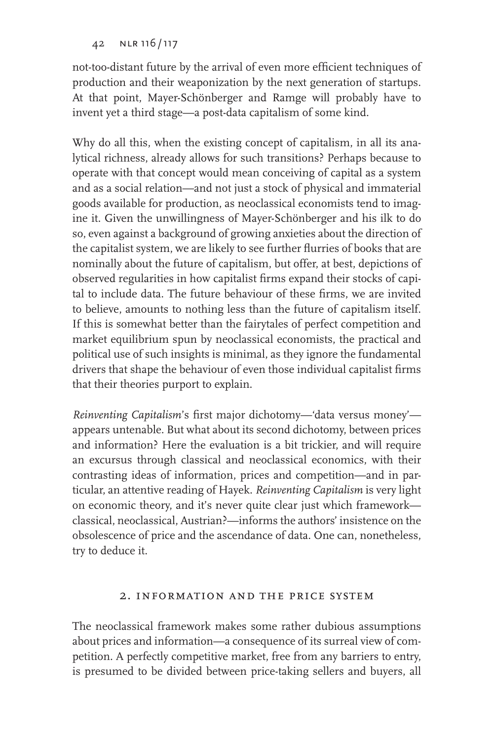not-too-distant future by the arrival of even more efficient techniques of production and their weaponization by the next generation of startups. At that point, Mayer-Schönberger and Ramge will probably have to invent yet a third stage—a post-data capitalism of some kind.

Why do all this, when the existing concept of capitalism, in all its analytical richness, already allows for such transitions? Perhaps because to operate with that concept would mean conceiving of capital as a system and as a social relation—and not just a stock of physical and immaterial goods available for production, as neoclassical economists tend to imagine it. Given the unwillingness of Mayer-Schönberger and his ilk to do so, even against a background of growing anxieties about the direction of the capitalist system, we are likely to see further flurries of books that are nominally about the future of capitalism, but offer, at best, depictions of observed regularities in how capitalist firms expand their stocks of capital to include data. The future behaviour of these firms, we are invited to believe, amounts to nothing less than the future of capitalism itself. If this is somewhat better than the fairytales of perfect competition and market equilibrium spun by neoclassical economists, the practical and political use of such insights is minimal, as they ignore the fundamental drivers that shape the behaviour of even those individual capitalist firms that their theories purport to explain.

*Reinventing Capitalism*'s first major dichotomy—'data versus money' appears untenable. But what about its second dichotomy, between prices and information? Here the evaluation is a bit trickier, and will require an excursus through classical and neoclassical economics, with their contrasting ideas of information, prices and competition—and in particular, an attentive reading of Hayek. *Reinventing Capitalism* is very light on economic theory, and it's never quite clear just which framework classical, neoclassical, Austrian?—informs the authors' insistence on the obsolescence of price and the ascendance of data. One can, nonetheless, try to deduce it.

### 2. information and the price system

The neoclassical framework makes some rather dubious assumptions about prices and information—a consequence of its surreal view of competition. A perfectly competitive market, free from any barriers to entry, is presumed to be divided between price-taking sellers and buyers, all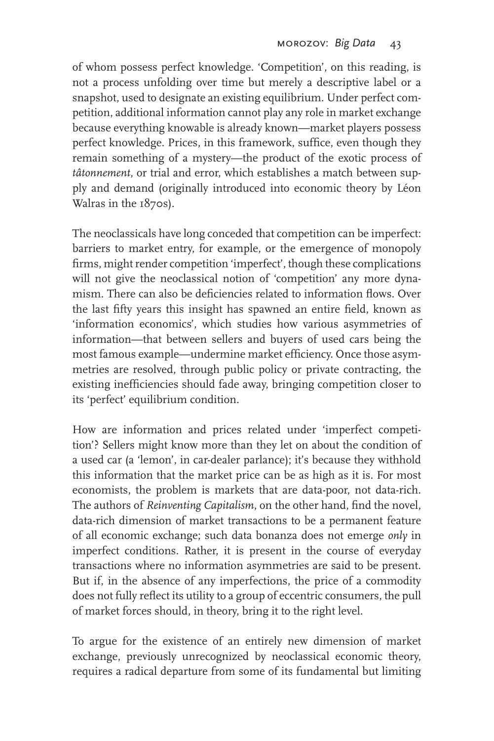of whom possess perfect knowledge. 'Competition', on this reading, is not a process unfolding over time but merely a descriptive label or a snapshot, used to designate an existing equilibrium. Under perfect competition, additional information cannot play any role in market exchange because everything knowable is already known—market players possess perfect knowledge. Prices, in this framework, suffice, even though they remain something of a mystery—the product of the exotic process of *tâtonnement*, or trial and error, which establishes a match between supply and demand (originally introduced into economic theory by Léon Walras in the 1870s).

The neoclassicals have long conceded that competition can be imperfect: barriers to market entry, for example, or the emergence of monopoly firms, might render competition 'imperfect', though these complications will not give the neoclassical notion of 'competition' any more dynamism. There can also be deficiencies related to information flows. Over the last fifty years this insight has spawned an entire field, known as 'information economics', which studies how various asymmetries of information—that between sellers and buyers of used cars being the most famous example—undermine market efficiency. Once those asymmetries are resolved, through public policy or private contracting, the existing inefficiencies should fade away, bringing competition closer to its 'perfect' equilibrium condition.

How are information and prices related under 'imperfect competition'? Sellers might know more than they let on about the condition of a used car (a 'lemon', in car-dealer parlance); it's because they withhold this information that the market price can be as high as it is. For most economists, the problem is markets that are data-poor, not data-rich. The authors of *Reinventing Capitalism*, on the other hand, find the novel, data-rich dimension of market transactions to be a permanent feature of all economic exchange; such data bonanza does not emerge *only* in imperfect conditions. Rather, it is present in the course of everyday transactions where no information asymmetries are said to be present. But if, in the absence of any imperfections, the price of a commodity does not fully reflect its utility to a group of eccentric consumers, the pull of market forces should, in theory, bring it to the right level.

To argue for the existence of an entirely new dimension of market exchange, previously unrecognized by neoclassical economic theory, requires a radical departure from some of its fundamental but limiting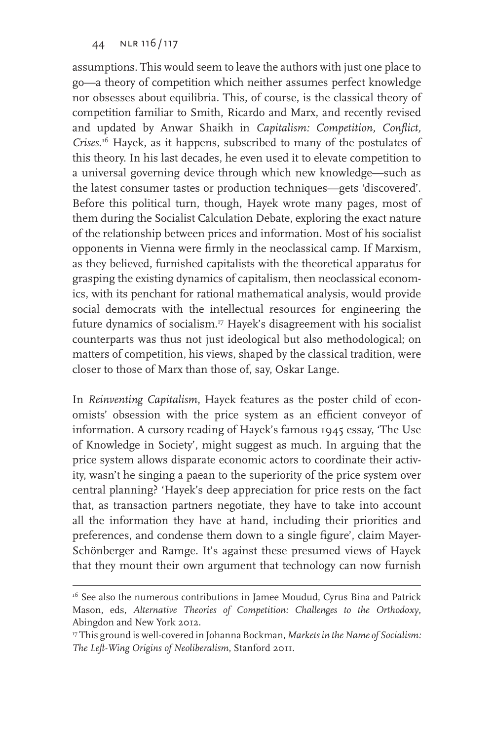assumptions. This would seem to leave the authors with just one place to go—a theory of competition which neither assumes perfect knowledge nor obsesses about equilibria. This, of course, is the classical theory of competition familiar to Smith, Ricardo and Marx, and recently revised and updated by Anwar Shaikh in *Capitalism: Competition, Conflict, Crises*. 16 Hayek, as it happens, subscribed to many of the postulates of this theory. In his last decades, he even used it to elevate competition to a universal governing device through which new knowledge—such as the latest consumer tastes or production techniques—gets 'discovered'. Before this political turn, though, Hayek wrote many pages, most of them during the Socialist Calculation Debate, exploring the exact nature of the relationship between prices and information. Most of his socialist opponents in Vienna were firmly in the neoclassical camp. If Marxism, as they believed, furnished capitalists with the theoretical apparatus for grasping the existing dynamics of capitalism, then neoclassical economics, with its penchant for rational mathematical analysis, would provide social democrats with the intellectual resources for engineering the future dynamics of socialism.17 Hayek's disagreement with his socialist counterparts was thus not just ideological but also methodological; on matters of competition, his views, shaped by the classical tradition, were closer to those of Marx than those of, say, Oskar Lange.

In *Reinventing Capitalism*, Hayek features as the poster child of economists' obsession with the price system as an efficient conveyor of information. A cursory reading of Hayek's famous 1945 essay, 'The Use of Knowledge in Society', might suggest as much. In arguing that the price system allows disparate economic actors to coordinate their activity, wasn't he singing a paean to the superiority of the price system over central planning? 'Hayek's deep appreciation for price rests on the fact that, as transaction partners negotiate, they have to take into account all the information they have at hand, including their priorities and preferences, and condense them down to a single figure', claim Mayer-Schönberger and Ramge. It's against these presumed views of Hayek that they mount their own argument that technology can now furnish

<sup>&</sup>lt;sup>16</sup> See also the numerous contributions in Jamee Moudud, Cyrus Bina and Patrick Mason, eds, *Alternative Theories of Competition: Challenges to the Orthodoxy*, Abingdon and New York 2012.

<sup>17</sup> This ground is well-covered in Johanna Bockman, *Markets in the Name of Socialism: The Left-Wing Origins of Neoliberalism*, Stanford 2011.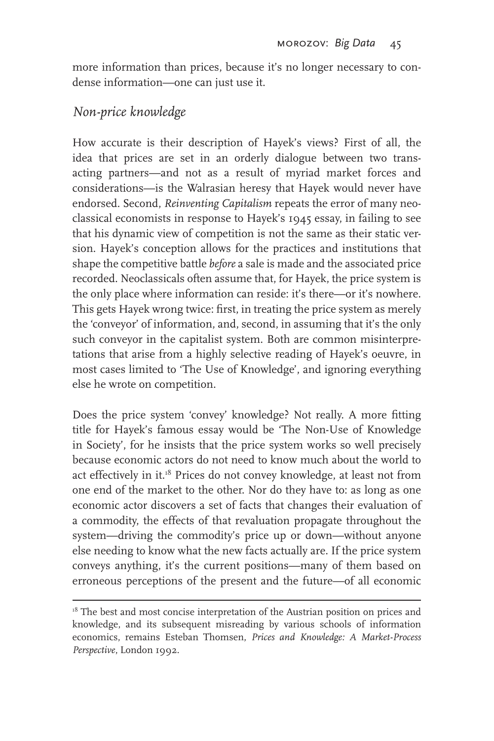more information than prices, because it's no longer necessary to condense information—one can just use it.

### *Non-price knowledge*

How accurate is their description of Hayek's views? First of all, the idea that prices are set in an orderly dialogue between two transacting partners—and not as a result of myriad market forces and considerations—is the Walrasian heresy that Hayek would never have endorsed. Second, *Reinventing Capitalism* repeats the error of many neoclassical economists in response to Hayek's 1945 essay, in failing to see that his dynamic view of competition is not the same as their static version. Hayek's conception allows for the practices and institutions that shape the competitive battle *before* a sale is made and the associated price recorded. Neoclassicals often assume that, for Hayek, the price system is the only place where information can reside: it's there—or it's nowhere. This gets Hayek wrong twice: first, in treating the price system as merely the 'conveyor' of information, and, second, in assuming that it's the only such conveyor in the capitalist system. Both are common misinterpretations that arise from a highly selective reading of Hayek's oeuvre, in most cases limited to 'The Use of Knowledge', and ignoring everything else he wrote on competition.

Does the price system 'convey' knowledge? Not really. A more fitting title for Hayek's famous essay would be 'The Non-Use of Knowledge in Society', for he insists that the price system works so well precisely because economic actors do not need to know much about the world to act effectively in it.18 Prices do not convey knowledge, at least not from one end of the market to the other. Nor do they have to: as long as one economic actor discovers a set of facts that changes their evaluation of a commodity, the effects of that revaluation propagate throughout the system—driving the commodity's price up or down—without anyone else needing to know what the new facts actually are. If the price system conveys anything, it's the current positions—many of them based on erroneous perceptions of the present and the future—of all economic

 $18$  The best and most concise interpretation of the Austrian position on prices and knowledge, and its subsequent misreading by various schools of information economics, remains Esteban Thomsen, *Prices and Knowledge: A Market-Process Perspective*, London 1992.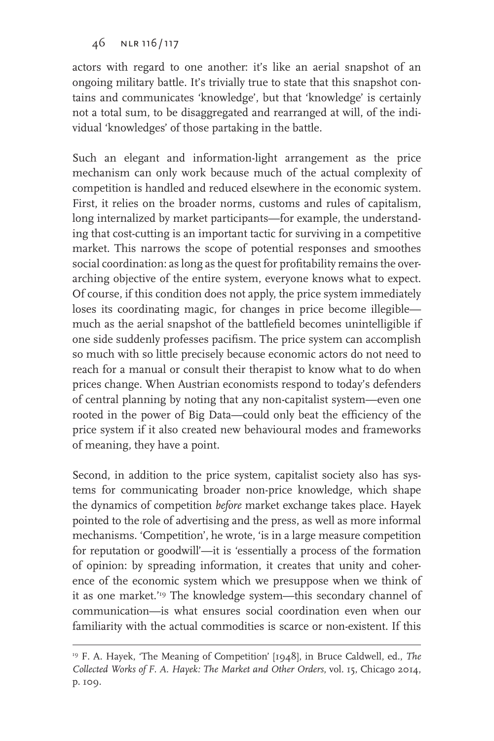actors with regard to one another: it's like an aerial snapshot of an ongoing military battle. It's trivially true to state that this snapshot contains and communicates 'knowledge', but that 'knowledge' is certainly not a total sum, to be disaggregated and rearranged at will, of the individual 'knowledges' of those partaking in the battle.

Such an elegant and information-light arrangement as the price mechanism can only work because much of the actual complexity of competition is handled and reduced elsewhere in the economic system. First, it relies on the broader norms, customs and rules of capitalism, long internalized by market participants—for example, the understanding that cost-cutting is an important tactic for surviving in a competitive market. This narrows the scope of potential responses and smoothes social coordination: as long as the quest for profitability remains the overarching objective of the entire system, everyone knows what to expect. Of course, if this condition does not apply, the price system immediately loses its coordinating magic, for changes in price become illegible much as the aerial snapshot of the battlefield becomes unintelligible if one side suddenly professes pacifism. The price system can accomplish so much with so little precisely because economic actors do not need to reach for a manual or consult their therapist to know what to do when prices change. When Austrian economists respond to today's defenders of central planning by noting that any non-capitalist system—even one rooted in the power of Big Data—could only beat the efficiency of the price system if it also created new behavioural modes and frameworks of meaning, they have a point.

Second, in addition to the price system, capitalist society also has systems for communicating broader non-price knowledge, which shape the dynamics of competition *before* market exchange takes place. Hayek pointed to the role of advertising and the press, as well as more informal mechanisms. 'Competition', he wrote, 'is in a large measure competition for reputation or goodwill'—it is 'essentially a process of the formation of opinion: by spreading information, it creates that unity and coherence of the economic system which we presuppose when we think of it as one market.'19 The knowledge system—this secondary channel of communication—is what ensures social coordination even when our familiarity with the actual commodities is scarce or non-existent. If this

<sup>19</sup> F. A. Hayek, 'The Meaning of Competition' [1948], in Bruce Caldwell, ed., *The Collected Works of F. A. Hayek: The Market and Other Orders*, vol. 15, Chicago 2014, p. 109.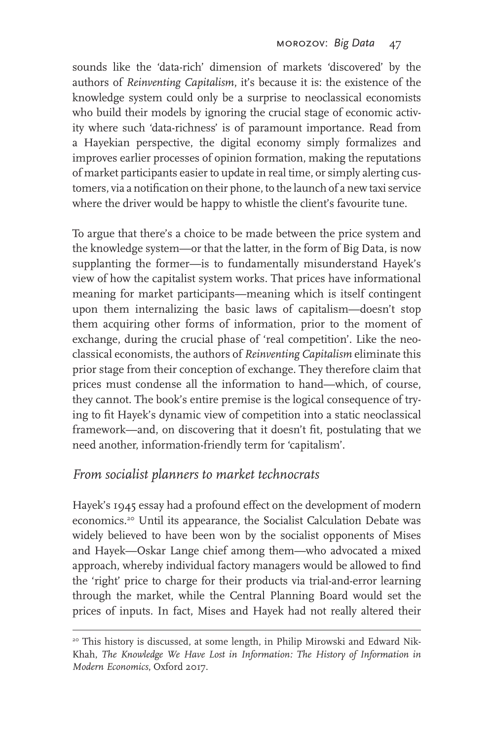sounds like the 'data-rich' dimension of markets 'discovered' by the authors of *Reinventing Capitalism*, it's because it is: the existence of the knowledge system could only be a surprise to neoclassical economists who build their models by ignoring the crucial stage of economic activity where such 'data-richness' is of paramount importance. Read from a Hayekian perspective, the digital economy simply formalizes and improves earlier processes of opinion formation, making the reputations of market participants easier to update in real time, or simply alerting customers, via a notification on their phone, to the launch of a new taxi service where the driver would be happy to whistle the client's favourite tune.

To argue that there's a choice to be made between the price system and the knowledge system—or that the latter, in the form of Big Data, is now supplanting the former—is to fundamentally misunderstand Hayek's view of how the capitalist system works. That prices have informational meaning for market participants—meaning which is itself contingent upon them internalizing the basic laws of capitalism—doesn't stop them acquiring other forms of information, prior to the moment of exchange, during the crucial phase of 'real competition'. Like the neoclassical economists, the authors of *Reinventing Capitalism* eliminate this prior stage from their conception of exchange. They therefore claim that prices must condense all the information to hand—which, of course, they cannot. The book's entire premise is the logical consequence of trying to fit Hayek's dynamic view of competition into a static neoclassical framework—and, on discovering that it doesn't fit, postulating that we need another, information-friendly term for 'capitalism'.

### *From socialist planners to market technocrats*

Hayek's 1945 essay had a profound effect on the development of modern economics.20 Until its appearance, the Socialist Calculation Debate was widely believed to have been won by the socialist opponents of Mises and Hayek—Oskar Lange chief among them—who advocated a mixed approach, whereby individual factory managers would be allowed to find the 'right' price to charge for their products via trial-and-error learning through the market, while the Central Planning Board would set the prices of inputs. In fact, Mises and Hayek had not really altered their

<sup>&</sup>lt;sup>20</sup> This history is discussed, at some length, in Philip Mirowski and Edward Nik-Khah, *The Knowledge We Have Lost in Information: The History of Information in Modern Economics*, Oxford 2017.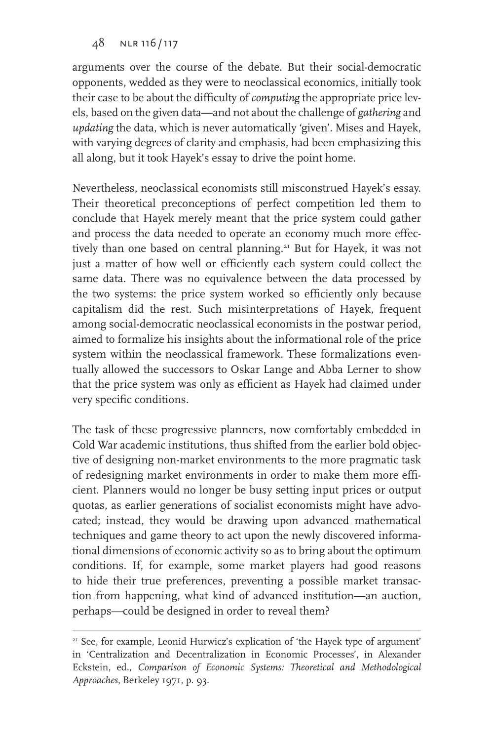arguments over the course of the debate. But their social-democratic opponents, wedded as they were to neoclassical economics, initially took their case to be about the difficulty of *computing* the appropriate price levels, based on the given data—and not about the challenge of *gathering* and *updating* the data, which is never automatically 'given'. Mises and Hayek, with varying degrees of clarity and emphasis, had been emphasizing this all along, but it took Hayek's essay to drive the point home.

Nevertheless, neoclassical economists still misconstrued Hayek's essay. Their theoretical preconceptions of perfect competition led them to conclude that Hayek merely meant that the price system could gather and process the data needed to operate an economy much more effectively than one based on central planning.<sup>21</sup> But for Hayek, it was not just a matter of how well or efficiently each system could collect the same data. There was no equivalence between the data processed by the two systems: the price system worked so efficiently only because capitalism did the rest. Such misinterpretations of Hayek, frequent among social-democratic neoclassical economists in the postwar period, aimed to formalize his insights about the informational role of the price system within the neoclassical framework. These formalizations eventually allowed the successors to Oskar Lange and Abba Lerner to show that the price system was only as efficient as Hayek had claimed under very specific conditions.

The task of these progressive planners, now comfortably embedded in Cold War academic institutions, thus shifted from the earlier bold objective of designing non-market environments to the more pragmatic task of redesigning market environments in order to make them more efficient. Planners would no longer be busy setting input prices or output quotas, as earlier generations of socialist economists might have advocated; instead, they would be drawing upon advanced mathematical techniques and game theory to act upon the newly discovered informational dimensions of economic activity so as to bring about the optimum conditions. If, for example, some market players had good reasons to hide their true preferences, preventing a possible market transaction from happening, what kind of advanced institution—an auction, perhaps—could be designed in order to reveal them?

<sup>&</sup>lt;sup>21</sup> See, for example, Leonid Hurwicz's explication of 'the Hayek type of argument' in 'Centralization and Decentralization in Economic Processes', in Alexander Eckstein, ed., *Comparison of Economic Systems: Theoretical and Methodological Approaches*, Berkeley 1971, p. 93.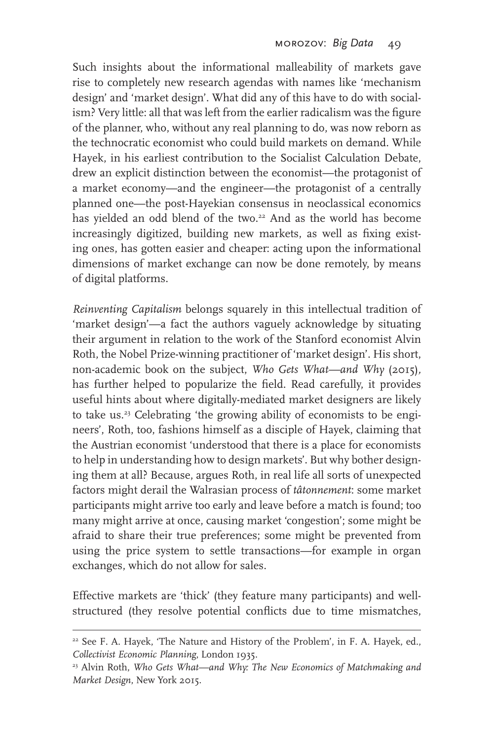Such insights about the informational malleability of markets gave rise to completely new research agendas with names like 'mechanism design' and 'market design'. What did any of this have to do with socialism? Very little: all that was left from the earlier radicalism was the figure of the planner, who, without any real planning to do, was now reborn as the technocratic economist who could build markets on demand. While Hayek, in his earliest contribution to the Socialist Calculation Debate, drew an explicit distinction between the economist—the protagonist of a market economy—and the engineer—the protagonist of a centrally planned one—the post-Hayekian consensus in neoclassical economics has yielded an odd blend of the two.<sup>22</sup> And as the world has become increasingly digitized, building new markets, as well as fixing existing ones, has gotten easier and cheaper: acting upon the informational dimensions of market exchange can now be done remotely, by means of digital platforms.

*Reinventing Capitalism* belongs squarely in this intellectual tradition of 'market design'—a fact the authors vaguely acknowledge by situating their argument in relation to the work of the Stanford economist Alvin Roth, the Nobel Prize-winning practitioner of 'market design'. His short, non-academic book on the subject, *Who Gets What—and Why* (2015)*,*  has further helped to popularize the field. Read carefully, it provides useful hints about where digitally-mediated market designers are likely to take us.23 Celebrating 'the growing ability of economists to be engineers', Roth, too, fashions himself as a disciple of Hayek, claiming that the Austrian economist 'understood that there is a place for economists to help in understanding how to design markets'. But why bother designing them at all? Because, argues Roth, in real life all sorts of unexpected factors might derail the Walrasian process of *tâtonnement*: some market participants might arrive too early and leave before a match is found; too many might arrive at once, causing market 'congestion'; some might be afraid to share their true preferences; some might be prevented from using the price system to settle transactions—for example in organ exchanges, which do not allow for sales.

Effective markets are 'thick' (they feature many participants) and wellstructured (they resolve potential conflicts due to time mismatches,

<sup>&</sup>lt;sup>22</sup> See F. A. Hayek, 'The Nature and History of the Problem', in F. A. Hayek, ed., *Collectivist Economic Planning*, London 1935.

<sup>23</sup> Alvin Roth, *Who Gets What—and Why: The New Economics of Matchmaking and Market Design*, New York 2015.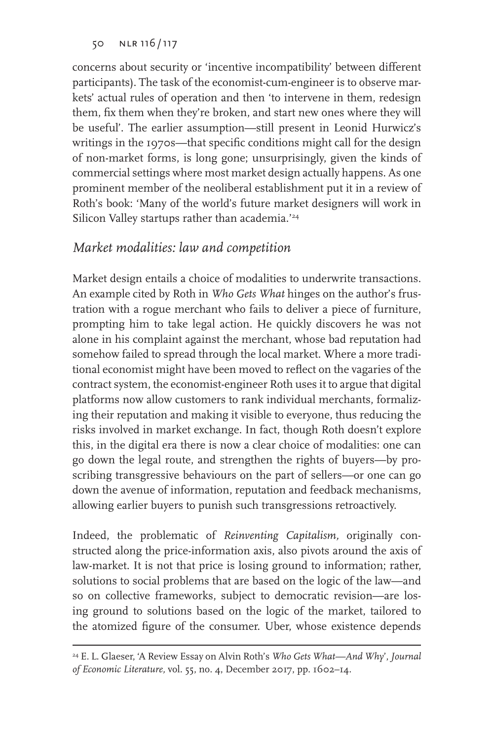concerns about security or 'incentive incompatibility' between different participants). The task of the economist-cum-engineer is to observe markets' actual rules of operation and then 'to intervene in them, redesign them, fix them when they're broken, and start new ones where they will be useful'. The earlier assumption—still present in Leonid Hurwicz's writings in the 1970s—that specific conditions might call for the design of non-market forms, is long gone; unsurprisingly, given the kinds of commercial settings where most market design actually happens. As one prominent member of the neoliberal establishment put it in a review of Roth's book: 'Many of the world's future market designers will work in Silicon Valley startups rather than academia.'<sup>24</sup>

### *Market modalities: law and competition*

Market design entails a choice of modalities to underwrite transactions. An example cited by Roth in *Who Gets What* hinges on the author's frustration with a rogue merchant who fails to deliver a piece of furniture, prompting him to take legal action. He quickly discovers he was not alone in his complaint against the merchant, whose bad reputation had somehow failed to spread through the local market. Where a more traditional economist might have been moved to reflect on the vagaries of the contract system, the economist-engineer Roth uses it to argue that digital platforms now allow customers to rank individual merchants, formalizing their reputation and making it visible to everyone, thus reducing the risks involved in market exchange. In fact, though Roth doesn't explore this, in the digital era there is now a clear choice of modalities: one can go down the legal route, and strengthen the rights of buyers—by proscribing transgressive behaviours on the part of sellers—or one can go down the avenue of information, reputation and feedback mechanisms, allowing earlier buyers to punish such transgressions retroactively.

Indeed, the problematic of *Reinventing Capitalism,* originally constructed along the price-information axis, also pivots around the axis of law-market. It is not that price is losing ground to information; rather, solutions to social problems that are based on the logic of the law—and so on collective frameworks, subject to democratic revision—are losing ground to solutions based on the logic of the market, tailored to the atomized figure of the consumer. Uber, whose existence depends

<sup>24</sup> E. L. Glaeser, 'A Review Essay on Alvin Roth's *Who Gets What—And Why*', *Journal of Economic Literature,* vol. 55, no. 4, December 2017, pp. 1602–14.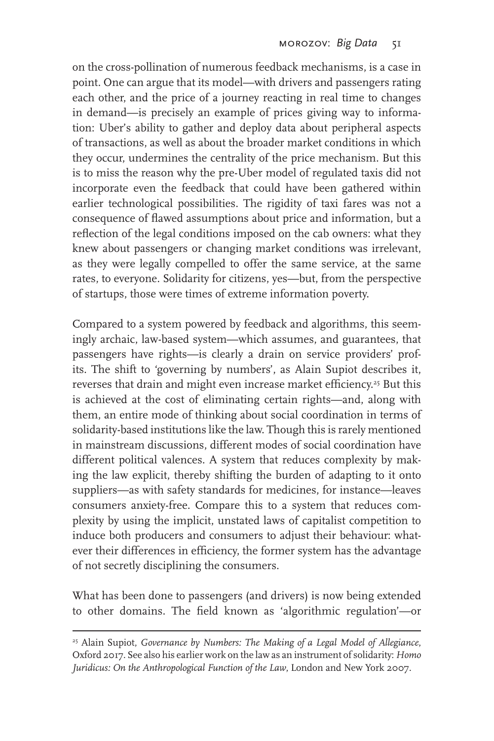on the cross-pollination of numerous feedback mechanisms, is a case in point. One can argue that its model—with drivers and passengers rating each other, and the price of a journey reacting in real time to changes in demand—is precisely an example of prices giving way to information: Uber's ability to gather and deploy data about peripheral aspects of transactions, as well as about the broader market conditions in which they occur, undermines the centrality of the price mechanism. But this is to miss the reason why the pre-Uber model of regulated taxis did not incorporate even the feedback that could have been gathered within earlier technological possibilities. The rigidity of taxi fares was not a consequence of flawed assumptions about price and information, but a reflection of the legal conditions imposed on the cab owners: what they knew about passengers or changing market conditions was irrelevant, as they were legally compelled to offer the same service, at the same rates, to everyone. Solidarity for citizens, yes—but, from the perspective of startups, those were times of extreme information poverty.

Compared to a system powered by feedback and algorithms, this seemingly archaic, law-based system—which assumes, and guarantees, that passengers have rights—is clearly a drain on service providers' profits. The shift to 'governing by numbers', as Alain Supiot describes it, reverses that drain and might even increase market efficiency.<sup>25</sup> But this is achieved at the cost of eliminating certain rights—and, along with them, an entire mode of thinking about social coordination in terms of solidarity-based institutions like the law. Though this is rarely mentioned in mainstream discussions, different modes of social coordination have different political valences. A system that reduces complexity by making the law explicit, thereby shifting the burden of adapting to it onto suppliers—as with safety standards for medicines, for instance—leaves consumers anxiety-free. Compare this to a system that reduces complexity by using the implicit, unstated laws of capitalist competition to induce both producers and consumers to adjust their behaviour: whatever their differences in efficiency, the former system has the advantage of not secretly disciplining the consumers.

What has been done to passengers (and drivers) is now being extended to other domains. The field known as 'algorithmic regulation'—or

<sup>25</sup> Alain Supiot, *Governance by Numbers: The Making of a Legal Model of Allegiance*, Oxford 2017. See also his earlier work on the law as an instrument of solidarity: *Homo Juridicus: On the Anthropological Function of the Law*, London and New York 2007.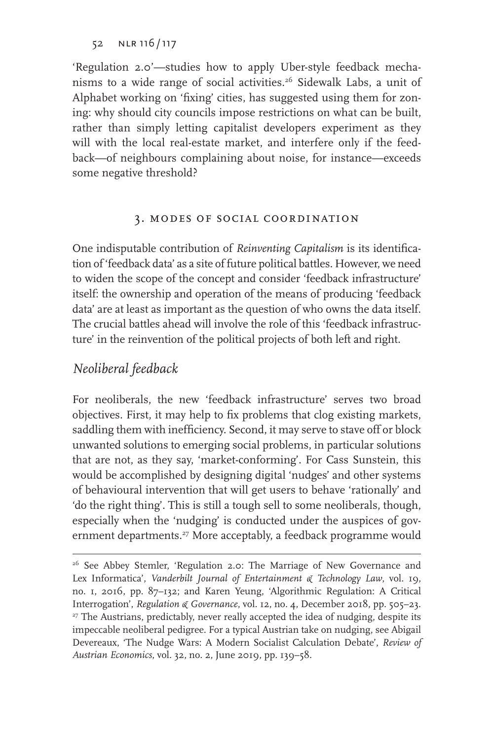'Regulation 2.0'—studies how to apply Uber-style feedback mechanisms to a wide range of social activities.<sup>26</sup> Sidewalk Labs, a unit of Alphabet working on 'fixing' cities, has suggested using them for zoning: why should city councils impose restrictions on what can be built, rather than simply letting capitalist developers experiment as they will with the local real-estate market, and interfere only if the feedback—of neighbours complaining about noise, for instance—exceeds some negative threshold?

### 3. modes of social coordination

One indisputable contribution of *Reinventing Capitalism* is its identification of 'feedback data' as a site of future political battles. However, we need to widen the scope of the concept and consider 'feedback infrastructure' itself: the ownership and operation of the means of producing 'feedback data' are at least as important as the question of who owns the data itself. The crucial battles ahead will involve the role of this 'feedback infrastructure' in the reinvention of the political projects of both left and right.

### *Neoliberal feedback*

For neoliberals, the new 'feedback infrastructure' serves two broad objectives. First, it may help to fix problems that clog existing markets, saddling them with inefficiency. Second, it may serve to stave off or block unwanted solutions to emerging social problems, in particular solutions that are not, as they say, 'market-conforming'. For Cass Sunstein, this would be accomplished by designing digital 'nudges' and other systems of behavioural intervention that will get users to behave 'rationally' and 'do the right thing'. This is still a tough sell to some neoliberals, though, especially when the 'nudging' is conducted under the auspices of government departments.<sup>27</sup> More acceptably, a feedback programme would

<sup>&</sup>lt;sup>26</sup> See Abbey Stemler, 'Regulation 2.0: The Marriage of New Governance and Lex Informatica', *Vanderbilt Journal of Entertainment & Technology Law*, vol. 19, no. 1, 2016, pp. 87–132; and Karen Yeung, 'Algorithmic Regulation: A Critical Interrogation', *Regulation & Governance*, vol. 12, no. 4, December 2018, pp. 505–23.<br><sup>27</sup> The Austrians, predictably, never really accepted the idea of nudging, despite its impeccable neoliberal pedigree. For a typical Austrian take on nudging, see Abigail Devereaux, 'The Nudge Wars: A Modern Socialist Calculation Debate', *Review of Austrian Economics*, vol. 32, no. 2, June 2019, pp. 139–58.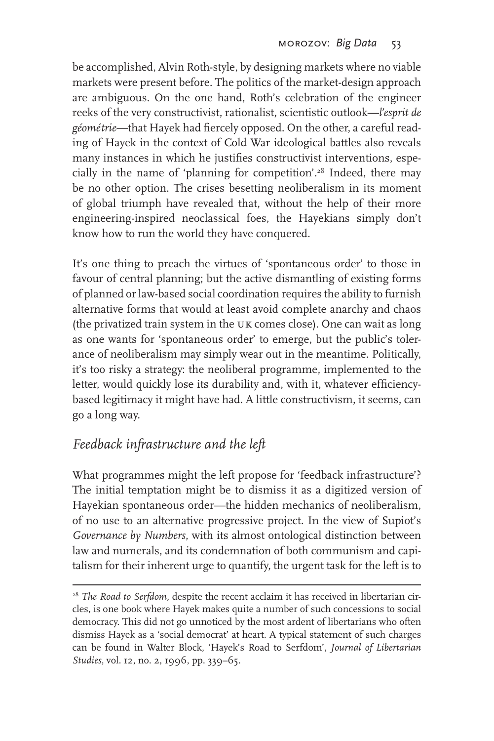be accomplished, Alvin Roth-style, by designing markets where no viable markets were present before. The politics of the market-design approach are ambiguous. On the one hand, Roth's celebration of the engineer reeks of the very constructivist, rationalist, scientistic outlook—*l'esprit de géométrie—*that Hayek had fiercely opposed. On the other, a careful reading of Hayek in the context of Cold War ideological battles also reveals many instances in which he justifies constructivist interventions, especially in the name of 'planning for competition'.28 Indeed, there may be no other option. The crises besetting neoliberalism in its moment of global triumph have revealed that, without the help of their more engineering-inspired neoclassical foes, the Hayekians simply don't know how to run the world they have conquered.

It's one thing to preach the virtues of 'spontaneous order' to those in favour of central planning; but the active dismantling of existing forms of planned or law-based social coordination requires the ability to furnish alternative forms that would at least avoid complete anarchy and chaos (the privatized train system in the uk comes close). One can wait as long as one wants for 'spontaneous order' to emerge, but the public's tolerance of neoliberalism may simply wear out in the meantime. Politically, it's too risky a strategy: the neoliberal programme, implemented to the letter, would quickly lose its durability and, with it, whatever efficiencybased legitimacy it might have had. A little constructivism, it seems, can go a long way.

# *Feedback infrastructure and the left*

What programmes might the left propose for 'feedback infrastructure'? The initial temptation might be to dismiss it as a digitized version of Hayekian spontaneous order—the hidden mechanics of neoliberalism, of no use to an alternative progressive project. In the view of Supiot's *Governance by Numbers*, with its almost ontological distinction between law and numerals, and its condemnation of both communism and capitalism for their inherent urge to quantify, the urgent task for the left is to

<sup>&</sup>lt;sup>28</sup> *The Road to Serfdom, despite the recent acclaim it has received in libertarian cir*cles, is one book where Hayek makes quite a number of such concessions to social democracy. This did not go unnoticed by the most ardent of libertarians who often dismiss Hayek as a 'social democrat' at heart. A typical statement of such charges can be found in Walter Block, 'Hayek's Road to Serfdom', *Journal of Libertarian Studies*, vol. 12, no. 2, 1996, pp. 339–65.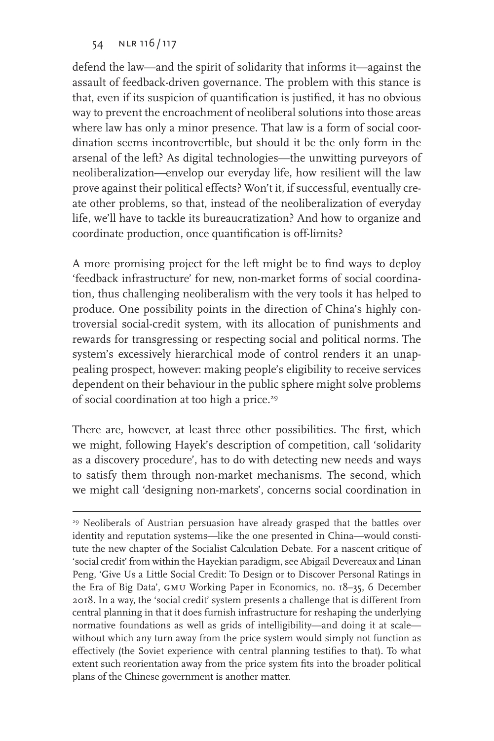defend the law—and the spirit of solidarity that informs it—against the assault of feedback-driven governance. The problem with this stance is that, even if its suspicion of quantification is justified, it has no obvious way to prevent the encroachment of neoliberal solutions into those areas where law has only a minor presence. That law is a form of social coordination seems incontrovertible, but should it be the only form in the arsenal of the left? As digital technologies—the unwitting purveyors of neoliberalization—envelop our everyday life, how resilient will the law prove against their political effects? Won't it, if successful, eventually create other problems, so that, instead of the neoliberalization of everyday life, we'll have to tackle its bureaucratization? And how to organize and coordinate production, once quantification is off-limits?

A more promising project for the left might be to find ways to deploy 'feedback infrastructure' for new, non-market forms of social coordination, thus challenging neoliberalism with the very tools it has helped to produce. One possibility points in the direction of China's highly controversial social-credit system, with its allocation of punishments and rewards for transgressing or respecting social and political norms. The system's excessively hierarchical mode of control renders it an unappealing prospect, however: making people's eligibility to receive services dependent on their behaviour in the public sphere might solve problems of social coordination at too high a price.<sup>29</sup>

There are, however, at least three other possibilities. The first, which we might, following Hayek's description of competition, call 'solidarity as a discovery procedure', has to do with detecting new needs and ways to satisfy them through non-market mechanisms. The second, which we might call 'designing non-markets', concerns social coordination in

<sup>&</sup>lt;sup>29</sup> Neoliberals of Austrian persuasion have already grasped that the battles over identity and reputation systems—like the one presented in China—would constitute the new chapter of the Socialist Calculation Debate. For a nascent critique of 'social credit' from within the Hayekian paradigm, see Abigail Devereaux and Linan Peng, 'Give Us a Little Social Credit: To Design or to Discover Personal Ratings in the Era of Big Data', GMU Working Paper in Economics, no. 18-35, 6 December 2018. In a way, the 'social credit' system presents a challenge that is different from central planning in that it does furnish infrastructure for reshaping the underlying normative foundations as well as grids of intelligibility—and doing it at scale without which any turn away from the price system would simply not function as effectively (the Soviet experience with central planning testifies to that). To what extent such reorientation away from the price system fits into the broader political plans of the Chinese government is another matter.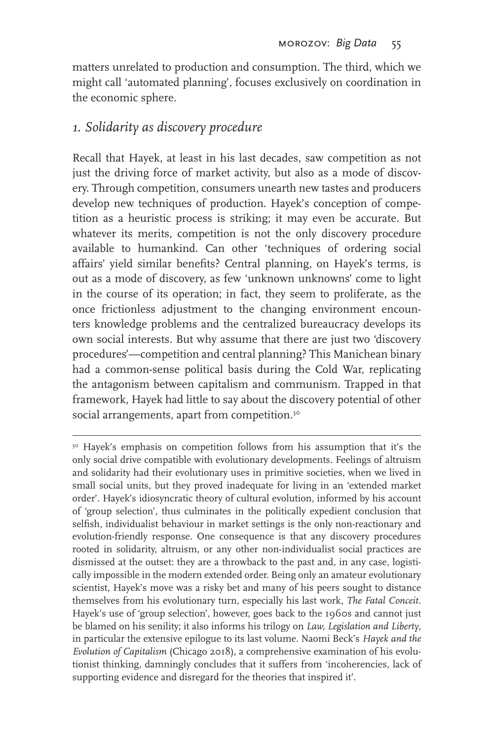matters unrelated to production and consumption. The third, which we might call 'automated planning', focuses exclusively on coordination in the economic sphere.

### *1. Solidarity as discovery procedure*

Recall that Hayek, at least in his last decades, saw competition as not just the driving force of market activity, but also as a mode of discovery. Through competition, consumers unearth new tastes and producers develop new techniques of production. Hayek's conception of competition as a heuristic process is striking; it may even be accurate. But whatever its merits, competition is not the only discovery procedure available to humankind. Can other 'techniques of ordering social affairs' yield similar benefits? Central planning, on Hayek's terms, is out as a mode of discovery, as few 'unknown unknowns' come to light in the course of its operation; in fact, they seem to proliferate, as the once frictionless adjustment to the changing environment encounters knowledge problems and the centralized bureaucracy develops its own social interests. But why assume that there are just two 'discovery procedures'—competition and central planning? This Manichean binary had a common-sense political basis during the Cold War, replicating the antagonism between capitalism and communism. Trapped in that framework, Hayek had little to say about the discovery potential of other social arrangements, apart from competition.<sup>30</sup>

<sup>&</sup>lt;sup>30</sup> Hayek's emphasis on competition follows from his assumption that it's the only social drive compatible with evolutionary developments. Feelings of altruism and solidarity had their evolutionary uses in primitive societies, when we lived in small social units, but they proved inadequate for living in an 'extended market order'. Hayek's idiosyncratic theory of cultural evolution, informed by his account of 'group selection', thus culminates in the politically expedient conclusion that selfish, individualist behaviour in market settings is the only non-reactionary and evolution-friendly response. One consequence is that any discovery procedures rooted in solidarity, altruism, or any other non-individualist social practices are dismissed at the outset: they are a throwback to the past and, in any case, logistically impossible in the modern extended order. Being only an amateur evolutionary scientist, Hayek's move was a risky bet and many of his peers sought to distance themselves from his evolutionary turn, especially his last work, *The Fatal Conceit*. Hayek's use of 'group selection', however, goes back to the 1960s and cannot just be blamed on his senility; it also informs his trilogy on *Law, Legislation and Liberty*, in particular the extensive epilogue to its last volume. Naomi Beck's *Hayek and the Evolution of Capitalism* (Chicago 2018), a comprehensive examination of his evolutionist thinking, damningly concludes that it suffers from 'incoherencies, lack of supporting evidence and disregard for the theories that inspired it'.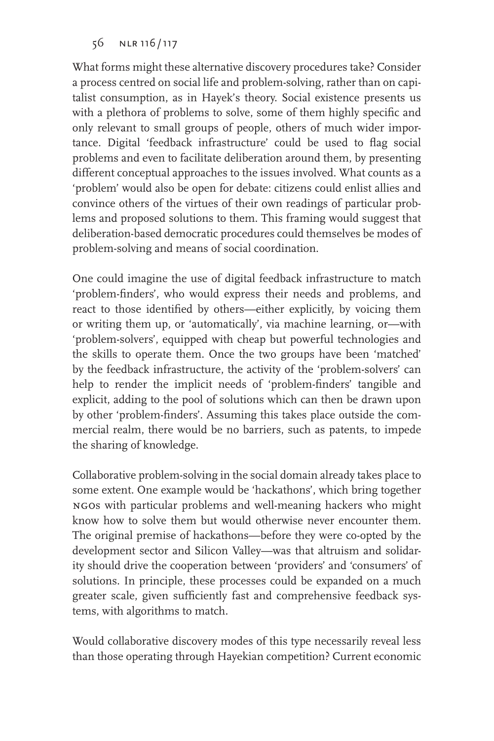What forms might these alternative discovery procedures take? Consider a process centred on social life and problem-solving, rather than on capitalist consumption, as in Hayek's theory. Social existence presents us with a plethora of problems to solve, some of them highly specific and only relevant to small groups of people, others of much wider importance. Digital 'feedback infrastructure' could be used to flag social problems and even to facilitate deliberation around them, by presenting different conceptual approaches to the issues involved. What counts as a 'problem' would also be open for debate: citizens could enlist allies and convince others of the virtues of their own readings of particular problems and proposed solutions to them. This framing would suggest that deliberation-based democratic procedures could themselves be modes of problem-solving and means of social coordination.

One could imagine the use of digital feedback infrastructure to match 'problem-finders', who would express their needs and problems, and react to those identified by others—either explicitly, by voicing them or writing them up, or 'automatically', via machine learning, or—with 'problem-solvers', equipped with cheap but powerful technologies and the skills to operate them. Once the two groups have been 'matched' by the feedback infrastructure, the activity of the 'problem-solvers' can help to render the implicit needs of 'problem-finders' tangible and explicit, adding to the pool of solutions which can then be drawn upon by other 'problem-finders'. Assuming this takes place outside the commercial realm, there would be no barriers, such as patents, to impede the sharing of knowledge.

Collaborative problem-solving in the social domain already takes place to some extent. One example would be 'hackathons', which bring together ngos with particular problems and well-meaning hackers who might know how to solve them but would otherwise never encounter them. The original premise of hackathons—before they were co-opted by the development sector and Silicon Valley—was that altruism and solidarity should drive the cooperation between 'providers' and 'consumers' of solutions. In principle, these processes could be expanded on a much greater scale, given sufficiently fast and comprehensive feedback systems, with algorithms to match.

Would collaborative discovery modes of this type necessarily reveal less than those operating through Hayekian competition? Current economic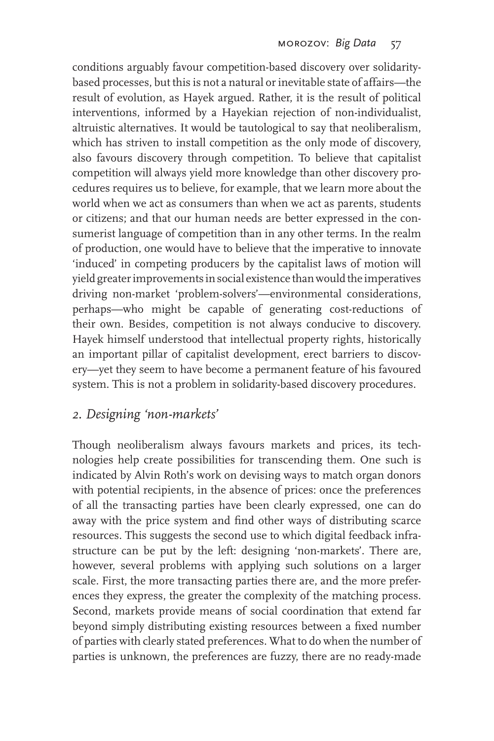conditions arguably favour competition-based discovery over solidaritybased processes, but this is not a natural or inevitable state of affairs—the result of evolution, as Hayek argued. Rather, it is the result of political interventions, informed by a Hayekian rejection of non-individualist, altruistic alternatives. It would be tautological to say that neoliberalism, which has striven to install competition as the only mode of discovery, also favours discovery through competition. To believe that capitalist competition will always yield more knowledge than other discovery procedures requires us to believe, for example, that we learn more about the world when we act as consumers than when we act as parents, students or citizens; and that our human needs are better expressed in the consumerist language of competition than in any other terms. In the realm of production, one would have to believe that the imperative to innovate 'induced' in competing producers by the capitalist laws of motion will yield greater improvements in social existence than would the imperatives driving non-market 'problem-solvers'—environmental considerations, perhaps—who might be capable of generating cost-reductions of their own. Besides, competition is not always conducive to discovery. Hayek himself understood that intellectual property rights, historically an important pillar of capitalist development, erect barriers to discovery—yet they seem to have become a permanent feature of his favoured system. This is not a problem in solidarity-based discovery procedures.

### *2. Designing 'non-markets'*

Though neoliberalism always favours markets and prices, its technologies help create possibilities for transcending them. One such is indicated by Alvin Roth's work on devising ways to match organ donors with potential recipients, in the absence of prices: once the preferences of all the transacting parties have been clearly expressed, one can do away with the price system and find other ways of distributing scarce resources. This suggests the second use to which digital feedback infrastructure can be put by the left: designing 'non-markets'. There are, however, several problems with applying such solutions on a larger scale. First, the more transacting parties there are, and the more preferences they express, the greater the complexity of the matching process. Second, markets provide means of social coordination that extend far beyond simply distributing existing resources between a fixed number of parties with clearly stated preferences. What to do when the number of parties is unknown, the preferences are fuzzy, there are no ready-made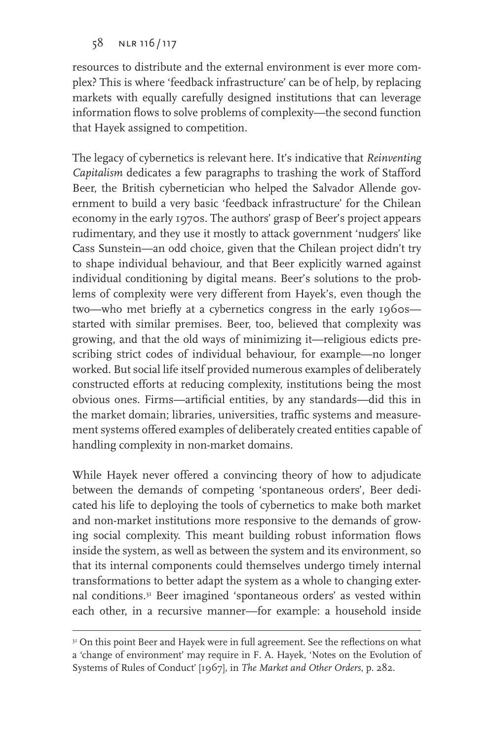resources to distribute and the external environment is ever more complex? This is where 'feedback infrastructure' can be of help, by replacing markets with equally carefully designed institutions that can leverage information flows to solve problems of complexity—the second function that Hayek assigned to competition.

The legacy of cybernetics is relevant here. It's indicative that *Reinventing Capitalism* dedicates a few paragraphs to trashing the work of Stafford Beer, the British cybernetician who helped the Salvador Allende government to build a very basic 'feedback infrastructure' for the Chilean economy in the early 1970s. The authors' grasp of Beer's project appears rudimentary, and they use it mostly to attack government 'nudgers' like Cass Sunstein—an odd choice, given that the Chilean project didn't try to shape individual behaviour, and that Beer explicitly warned against individual conditioning by digital means. Beer's solutions to the problems of complexity were very different from Hayek's, even though the two—who met briefly at a cybernetics congress in the early 1960s started with similar premises. Beer, too, believed that complexity was growing, and that the old ways of minimizing it—religious edicts prescribing strict codes of individual behaviour, for example—no longer worked. But social life itself provided numerous examples of deliberately constructed efforts at reducing complexity, institutions being the most obvious ones. Firms—artificial entities, by any standards—did this in the market domain; libraries, universities, traffic systems and measurement systems offered examples of deliberately created entities capable of handling complexity in non-market domains.

While Hayek never offered a convincing theory of how to adjudicate between the demands of competing 'spontaneous orders', Beer dedicated his life to deploying the tools of cybernetics to make both market and non-market institutions more responsive to the demands of growing social complexity. This meant building robust information flows inside the system, as well as between the system and its environment, so that its internal components could themselves undergo timely internal transformations to better adapt the system as a whole to changing external conditions.31 Beer imagined 'spontaneous orders' as vested within each other, in a recursive manner—for example: a household inside

<sup>&</sup>lt;sup>31</sup> On this point Beer and Hayek were in full agreement. See the reflections on what a 'change of environment' may require in F. A. Hayek, 'Notes on the Evolution of Systems of Rules of Conduct' [1967], in *The Market and Other Orders*, p. 282.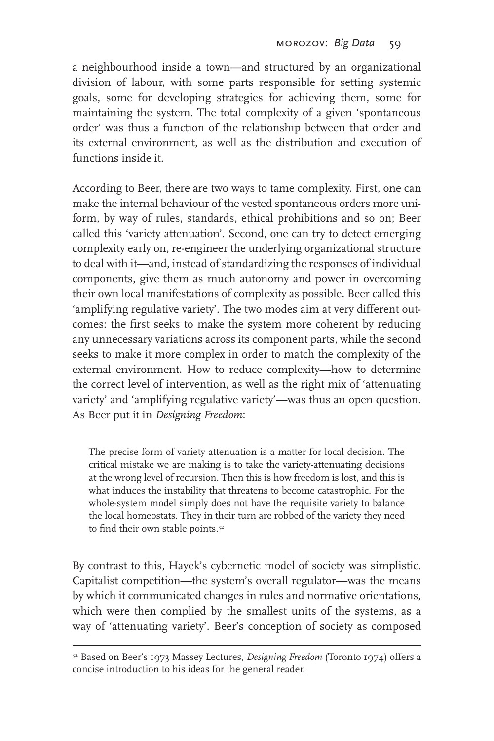a neighbourhood inside a town—and structured by an organizational division of labour, with some parts responsible for setting systemic goals, some for developing strategies for achieving them, some for maintaining the system. The total complexity of a given 'spontaneous order' was thus a function of the relationship between that order and its external environment, as well as the distribution and execution of functions inside it.

According to Beer, there are two ways to tame complexity. First, one can make the internal behaviour of the vested spontaneous orders more uniform, by way of rules, standards, ethical prohibitions and so on; Beer called this 'variety attenuation'. Second, one can try to detect emerging complexity early on, re-engineer the underlying organizational structure to deal with it—and, instead of standardizing the responses of individual components, give them as much autonomy and power in overcoming their own local manifestations of complexity as possible. Beer called this 'amplifying regulative variety'. The two modes aim at very different outcomes: the first seeks to make the system more coherent by reducing any unnecessary variations across its component parts, while the second seeks to make it more complex in order to match the complexity of the external environment. How to reduce complexity—how to determine the correct level of intervention, as well as the right mix of 'attenuating variety' and 'amplifying regulative variety'—was thus an open question. As Beer put it in *Designing Freedom*:

The precise form of variety attenuation is a matter for local decision. The critical mistake we are making is to take the variety-attenuating decisions at the wrong level of recursion. Then this is how freedom is lost, and this is what induces the instability that threatens to become catastrophic. For the whole-system model simply does not have the requisite variety to balance the local homeostats. They in their turn are robbed of the variety they need to find their own stable points.<sup>32</sup>

By contrast to this, Hayek's cybernetic model of society was simplistic. Capitalist competition—the system's overall regulator—was the means by which it communicated changes in rules and normative orientations, which were then complied by the smallest units of the systems, as a way of 'attenuating variety'. Beer's conception of society as composed

<sup>32</sup> Based on Beer's 1973 Massey Lectures, *Designing Freedom* (Toronto 1974) offers a concise introduction to his ideas for the general reader.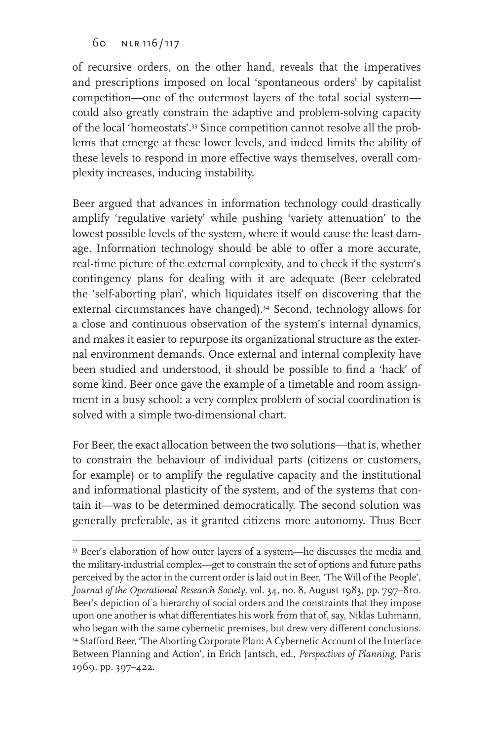of recursive orders, on the other hand, reveals that the imperatives and prescriptions imposed on local 'spontaneous orders' by capitalist competition—one of the outermost layers of the total social system could also greatly constrain the adaptive and problem-solving capacity of the local 'homeostats'.33 Since competition cannot resolve all the problems that emerge at these lower levels, and indeed limits the ability of these levels to respond in more effective ways themselves, overall complexity increases, inducing instability.

Beer argued that advances in information technology could drastically amplify 'regulative variety' while pushing 'variety attenuation' to the lowest possible levels of the system, where it would cause the least damage. Information technology should be able to offer a more accurate, real-time picture of the external complexity, and to check if the system's contingency plans for dealing with it are adequate (Beer celebrated the 'self-aborting plan', which liquidates itself on discovering that the external circumstances have changed).<sup>34</sup> Second, technology allows for a close and continuous observation of the system's internal dynamics, and makes it easier to repurpose its organizational structure as the external environment demands. Once external and internal complexity have been studied and understood, it should be possible to find a 'hack' of some kind. Beer once gave the example of a timetable and room assignment in a busy school: a very complex problem of social coordination is solved with a simple two-dimensional chart.

For Beer, the exact allocation between the two solutions—that is, whether to constrain the behaviour of individual parts (citizens or customers, for example) or to amplify the regulative capacity and the institutional and informational plasticity of the system, and of the systems that contain it—was to be determined democratically. The second solution was generally preferable, as it granted citizens more autonomy. Thus Beer

<sup>33</sup> Beer's elaboration of how outer layers of a system—he discusses the media and the military-industrial complex—get to constrain the set of options and future paths perceived by the actor in the current order is laid out in Beer, 'The Will of the People', *Journal of the Operational Research Society*, vol. 34, no. 8, August 1983, pp. 797–810. Beer's depiction of a hierarchy of social orders and the constraints that they impose upon one another is what differentiates his work from that of, say, Niklas Luhmann, who began with the same cybernetic premises, but drew very different conclusions. 34 Stafford Beer, 'The Aborting Corporate Plan: A Cybernetic Account of the Interface Between Planning and Action', in Erich Jantsch, ed., *Perspectives of Planning*, Paris 1969, pp. 397–422.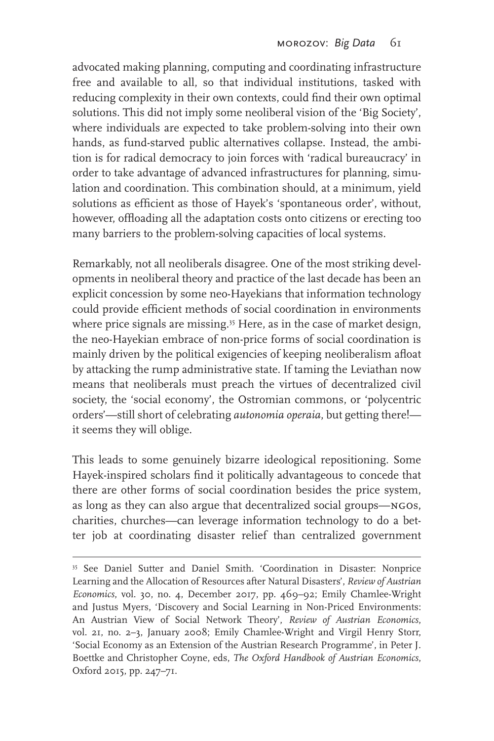advocated making planning, computing and coordinating infrastructure free and available to all, so that individual institutions, tasked with reducing complexity in their own contexts, could find their own optimal solutions. This did not imply some neoliberal vision of the 'Big Society', where individuals are expected to take problem-solving into their own hands, as fund-starved public alternatives collapse. Instead, the ambition is for radical democracy to join forces with 'radical bureaucracy' in order to take advantage of advanced infrastructures for planning, simulation and coordination. This combination should, at a minimum, yield solutions as efficient as those of Hayek's 'spontaneous order', without, however, offloading all the adaptation costs onto citizens or erecting too many barriers to the problem-solving capacities of local systems.

Remarkably, not all neoliberals disagree. One of the most striking developments in neoliberal theory and practice of the last decade has been an explicit concession by some neo-Hayekians that information technology could provide efficient methods of social coordination in environments where price signals are missing.<sup>35</sup> Here, as in the case of market design, the neo-Hayekian embrace of non-price forms of social coordination is mainly driven by the political exigencies of keeping neoliberalism afloat by attacking the rump administrative state. If taming the Leviathan now means that neoliberals must preach the virtues of decentralized civil society, the 'social economy', the Ostromian commons, or 'polycentric orders'—still short of celebrating *autonomia operaia*, but getting there! it seems they will oblige.

This leads to some genuinely bizarre ideological repositioning. Some Hayek-inspired scholars find it politically advantageous to concede that there are other forms of social coordination besides the price system, as long as they can also argue that decentralized social groups—ngos, charities, churches—can leverage information technology to do a better job at coordinating disaster relief than centralized government

<sup>&</sup>lt;sup>35</sup> See Daniel Sutter and Daniel Smith. 'Coordination in Disaster: Nonprice Learning and the Allocation of Resources after Natural Disasters', *Review of Austrian Economics*, vol. 30, no. 4, December 2017, pp. 469–92; Emily Chamlee-Wright and Justus Myers, 'Discovery and Social Learning in Non-Priced Environments: An Austrian View of Social Network Theory', *Review of Austrian Economics*, vol. 21, no. 2–3, January 2008; Emily Chamlee-Wright and Virgil Henry Storr, 'Social Economy as an Extension of the Austrian Research Programme', in Peter J. Boettke and Christopher Coyne, eds, *The Oxford Handbook of Austrian Economics*, Oxford 2015, pp. 247–71.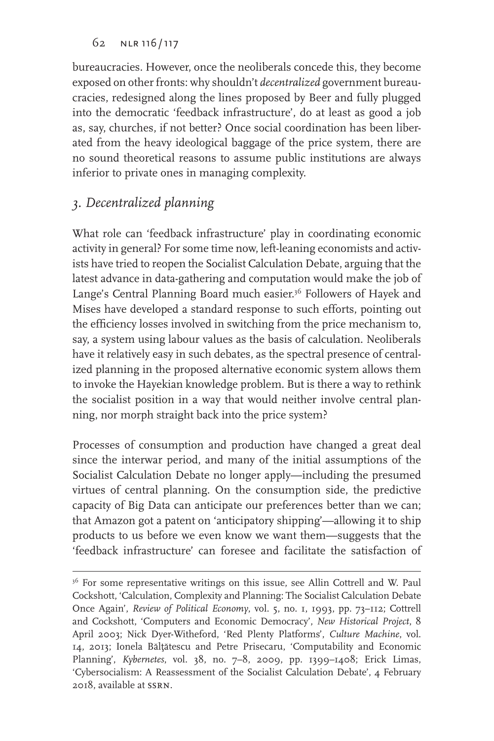bureaucracies. However, once the neoliberals concede this, they become exposed on other fronts: why shouldn't *decentralized* government bureaucracies, redesigned along the lines proposed by Beer and fully plugged into the democratic 'feedback infrastructure', do at least as good a job as, say, churches, if not better? Once social coordination has been liberated from the heavy ideological baggage of the price system, there are no sound theoretical reasons to assume public institutions are always inferior to private ones in managing complexity.

### *3. Decentralized planning*

What role can 'feedback infrastructure' play in coordinating economic activity in general? For some time now, left-leaning economists and activists have tried to reopen the Socialist Calculation Debate, arguing that the latest advance in data-gathering and computation would make the job of Lange's Central Planning Board much easier.<sup>36</sup> Followers of Hayek and Mises have developed a standard response to such efforts, pointing out the efficiency losses involved in switching from the price mechanism to, say, a system using labour values as the basis of calculation. Neoliberals have it relatively easy in such debates, as the spectral presence of centralized planning in the proposed alternative economic system allows them to invoke the Hayekian knowledge problem. But is there a way to rethink the socialist position in a way that would neither involve central planning, nor morph straight back into the price system?

Processes of consumption and production have changed a great deal since the interwar period, and many of the initial assumptions of the Socialist Calculation Debate no longer apply—including the presumed virtues of central planning. On the consumption side, the predictive capacity of Big Data can anticipate our preferences better than we can; that Amazon got a patent on 'anticipatory shipping'—allowing it to ship products to us before we even know we want them—suggests that the 'feedback infrastructure' can foresee and facilitate the satisfaction of

<sup>&</sup>lt;sup>36</sup> For some representative writings on this issue, see Allin Cottrell and W. Paul Cockshott, 'Calculation, Complexity and Planning: The Socialist Calculation Debate Once Again', *Review of Political Economy*, vol. 5, no. 1, 1993, pp. 73–112; Cottrell and Cockshott, 'Computers and Economic Democracy', *New Historical Project*, 8 April 2003; Nick Dyer-Witheford, 'Red Plenty Platforms', *Culture Machine*, vol. 14, 2013; Ionela Bălţătescu and Petre Prisecaru, 'Computability and Economic Planning', *Kybernetes*, vol. 38, no. 7–8, 2009, pp. 1399–1408; Erick Limas, 'Cybersocialism: A Reassessment of the Socialist Calculation Debate', 4 February 2018, available at ssrn.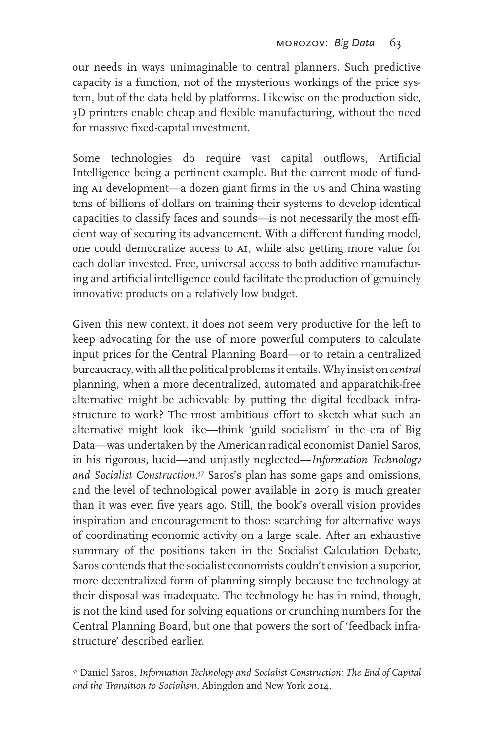our needs in ways unimaginable to central planners. Such predictive capacity is a function, not of the mysterious workings of the price system, but of the data held by platforms. Likewise on the production side, 3D printers enable cheap and flexible manufacturing, without the need for massive fixed-capital investment.

Some technologies do require vast capital outflows, Artificial Intelligence being a pertinent example. But the current mode of funding AI development—a dozen giant firms in the US and China wasting tens of billions of dollars on training their systems to develop identical capacities to classify faces and sounds—is not necessarily the most efficient way of securing its advancement. With a different funding model, one could democratize access to AI, while also getting more value for each dollar invested. Free, universal access to both additive manufacturing and artificial intelligence could facilitate the production of genuinely innovative products on a relatively low budget.

Given this new context, it does not seem very productive for the left to keep advocating for the use of more powerful computers to calculate input prices for the Central Planning Board—or to retain a centralized bureaucracy, with all the political problems it entails. Why insist on *central* planning, when a more decentralized, automated and apparatchik-free alternative might be achievable by putting the digital feedback infrastructure to work? The most ambitious effort to sketch what such an alternative might look like—think 'guild socialism' in the era of Big Data—was undertaken by the American radical economist Daniel Saros, in his rigorous, lucid—and unjustly neglected—*Information Technology and Socialist Construction.*<sup>37</sup> Saros's plan has some gaps and omissions, and the level of technological power available in 2019 is much greater than it was even five years ago. Still, the book's overall vision provides inspiration and encouragement to those searching for alternative ways of coordinating economic activity on a large scale. After an exhaustive summary of the positions taken in the Socialist Calculation Debate, Saros contends that the socialist economists couldn't envision a superior, more decentralized form of planning simply because the technology at their disposal was inadequate. The technology he has in mind, though, is not the kind used for solving equations or crunching numbers for the Central Planning Board, but one that powers the sort of 'feedback infrastructure' described earlier.

<sup>37</sup> Daniel Saros, *Information Technology and Socialist Construction: The End of Capital and the Transition to Socialism*, Abingdon and New York 2014.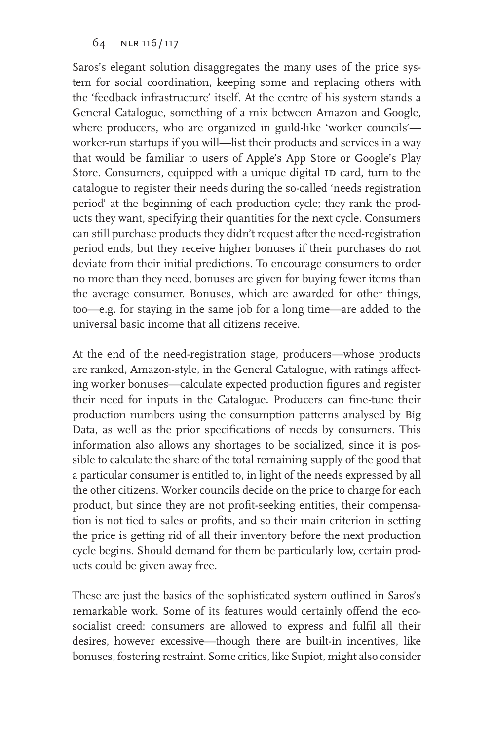Saros's elegant solution disaggregates the many uses of the price system for social coordination, keeping some and replacing others with the 'feedback infrastructure' itself. At the centre of his system stands a General Catalogue, something of a mix between Amazon and Google, where producers, who are organized in guild-like 'worker councils' worker-run startups if you will—list their products and services in a way that would be familiar to users of Apple's App Store or Google's Play Store. Consumers, equipped with a unique digital ID card, turn to the catalogue to register their needs during the so-called 'needs registration period' at the beginning of each production cycle; they rank the products they want, specifying their quantities for the next cycle. Consumers can still purchase products they didn't request after the need-registration period ends, but they receive higher bonuses if their purchases do not deviate from their initial predictions. To encourage consumers to order no more than they need, bonuses are given for buying fewer items than the average consumer. Bonuses, which are awarded for other things, too—e.g. for staying in the same job for a long time—are added to the universal basic income that all citizens receive.

At the end of the need-registration stage, producers—whose products are ranked, Amazon-style, in the General Catalogue, with ratings affecting worker bonuses—calculate expected production figures and register their need for inputs in the Catalogue. Producers can fine-tune their production numbers using the consumption patterns analysed by Big Data, as well as the prior specifications of needs by consumers. This information also allows any shortages to be socialized, since it is possible to calculate the share of the total remaining supply of the good that a particular consumer is entitled to, in light of the needs expressed by all the other citizens. Worker councils decide on the price to charge for each product, but since they are not profit-seeking entities, their compensation is not tied to sales or profits, and so their main criterion in setting the price is getting rid of all their inventory before the next production cycle begins. Should demand for them be particularly low, certain products could be given away free.

These are just the basics of the sophisticated system outlined in Saros's remarkable work. Some of its features would certainly offend the ecosocialist creed: consumers are allowed to express and fulfil all their desires, however excessive—though there are built-in incentives, like bonuses, fostering restraint. Some critics, like Supiot, might also consider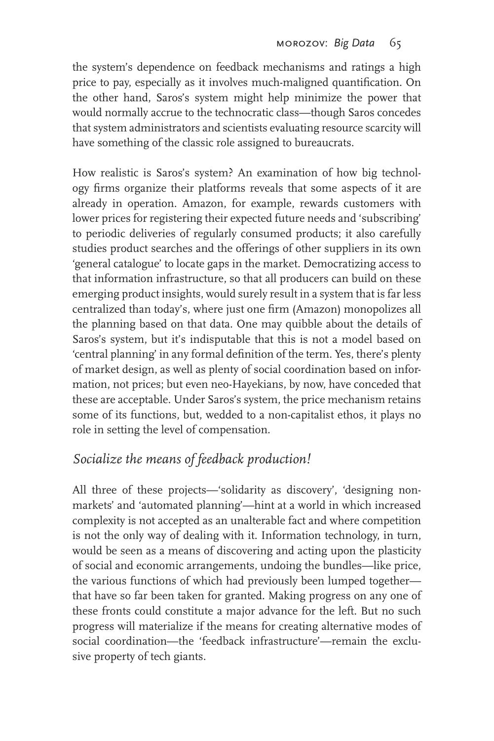the system's dependence on feedback mechanisms and ratings a high price to pay, especially as it involves much-maligned quantification. On the other hand, Saros's system might help minimize the power that would normally accrue to the technocratic class—though Saros concedes that system administrators and scientists evaluating resource scarcity will have something of the classic role assigned to bureaucrats.

How realistic is Saros's system? An examination of how big technology firms organize their platforms reveals that some aspects of it are already in operation. Amazon, for example, rewards customers with lower prices for registering their expected future needs and 'subscribing' to periodic deliveries of regularly consumed products; it also carefully studies product searches and the offerings of other suppliers in its own 'general catalogue' to locate gaps in the market. Democratizing access to that information infrastructure, so that all producers can build on these emerging product insights, would surely result in a system that is far less centralized than today's, where just one firm (Amazon) monopolizes all the planning based on that data. One may quibble about the details of Saros's system, but it's indisputable that this is not a model based on 'central planning' in any formal definition of the term. Yes, there's plenty of market design, as well as plenty of social coordination based on information, not prices; but even neo-Hayekians, by now, have conceded that these are acceptable. Under Saros's system, the price mechanism retains some of its functions, but, wedded to a non-capitalist ethos, it plays no role in setting the level of compensation.

# *Socialize the means of feedback production!*

All three of these projects—'solidarity as discovery', 'designing nonmarkets' and 'automated planning'—hint at a world in which increased complexity is not accepted as an unalterable fact and where competition is not the only way of dealing with it. Information technology, in turn, would be seen as a means of discovering and acting upon the plasticity of social and economic arrangements, undoing the bundles—like price, the various functions of which had previously been lumped together that have so far been taken for granted. Making progress on any one of these fronts could constitute a major advance for the left. But no such progress will materialize if the means for creating alternative modes of social coordination—the 'feedback infrastructure'—remain the exclusive property of tech giants.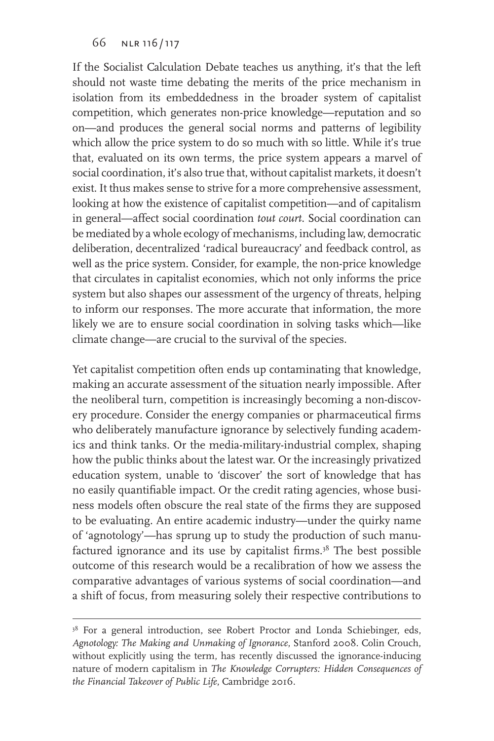If the Socialist Calculation Debate teaches us anything, it's that the left should not waste time debating the merits of the price mechanism in isolation from its embeddedness in the broader system of capitalist competition, which generates non-price knowledge—reputation and so on—and produces the general social norms and patterns of legibility which allow the price system to do so much with so little. While it's true that, evaluated on its own terms, the price system appears a marvel of social coordination, it's also true that, without capitalist markets, it doesn't exist. It thus makes sense to strive for a more comprehensive assessment, looking at how the existence of capitalist competition—and of capitalism in general—affect social coordination *tout court*. Social coordination can be mediated by a whole ecology of mechanisms, including law, democratic deliberation, decentralized 'radical bureaucracy' and feedback control, as well as the price system. Consider, for example, the non-price knowledge that circulates in capitalist economies, which not only informs the price system but also shapes our assessment of the urgency of threats, helping to inform our responses. The more accurate that information, the more likely we are to ensure social coordination in solving tasks which—like climate change—are crucial to the survival of the species.

Yet capitalist competition often ends up contaminating that knowledge, making an accurate assessment of the situation nearly impossible. After the neoliberal turn, competition is increasingly becoming a non-discovery procedure. Consider the energy companies or pharmaceutical firms who deliberately manufacture ignorance by selectively funding academics and think tanks. Or the media-military-industrial complex, shaping how the public thinks about the latest war. Or the increasingly privatized education system, unable to 'discover' the sort of knowledge that has no easily quantifiable impact. Or the credit rating agencies, whose business models often obscure the real state of the firms they are supposed to be evaluating. An entire academic industry—under the quirky name of 'agnotology'—has sprung up to study the production of such manufactured ignorance and its use by capitalist firms.<sup>38</sup> The best possible outcome of this research would be a recalibration of how we assess the comparative advantages of various systems of social coordination—and a shift of focus, from measuring solely their respective contributions to

<sup>&</sup>lt;sup>38</sup> For a general introduction, see Robert Proctor and Londa Schiebinger, eds, *Agnotology: The Making and Unmaking of Ignorance*, Stanford 2008. Colin Crouch, without explicitly using the term, has recently discussed the ignorance-inducing nature of modern capitalism in *The Knowledge Corrupters: Hidden Consequences of the Financial Takeover of Public Life*, Cambridge 2016.